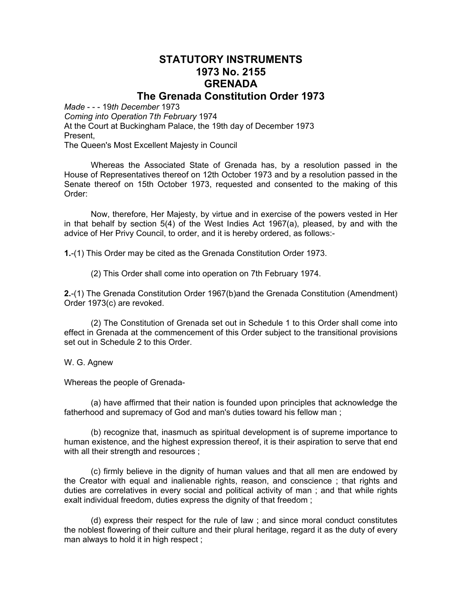# **STATUTORY INSTRUMENTS 1973 No. 2155 GRENADA**

## **The Grenada Constitution Order 1973**

*Made* - - - 19*th December* 1973 *Coming into Operation* 7*th February* 1974 At the Court at Buckingham Palace, the 19th day of December 1973 Present, The Queen's Most Excellent Majesty in Council

Whereas the Associated State of Grenada has, by a resolution passed in the House of Representatives thereof on 12th October 1973 and by a resolution passed in the Senate thereof on 15th October 1973, requested and consented to the making of this Order:

Now, therefore, Her Majesty, by virtue and in exercise of the powers vested in Her in that behalf by section 5(4) of the West Indies Act 1967(a), pleased, by and with the advice of Her Privy Council, to order, and it is hereby ordered, as follows:-

**1.**-(1) This Order may be cited as the Grenada Constitution Order 1973.

(2) This Order shall come into operation on 7th February 1974.

**2.**-(1) The Grenada Constitution Order 1967(b)and the Grenada Constitution (Amendment) Order 1973(c) are revoked.

(2) The Constitution of Grenada set out in Schedule 1 to this Order shall come into effect in Grenada at the commencement of this Order subject to the transitional provisions set out in Schedule 2 to this Order.

W. G. Agnew

Whereas the people of Grenada-

(a) have affirmed that their nation is founded upon principles that acknowledge the fatherhood and supremacy of God and man's duties toward his fellow man ;

(b) recognize that, inasmuch as spiritual development is of supreme importance to human existence, and the highest expression thereof, it is their aspiration to serve that end with all their strength and resources ;

(c) firmly believe in the dignity of human values and that all men are endowed by the Creator with equal and inalienable rights, reason, and conscience ; that rights and duties are correlatives in every social and political activity of man ; and that while rights exalt individual freedom, duties express the dignity of that freedom ;

(d) express their respect for the rule of law ; and since moral conduct constitutes the noblest flowering of their culture and their plural heritage, regard it as the duty of every man always to hold it in high respect ;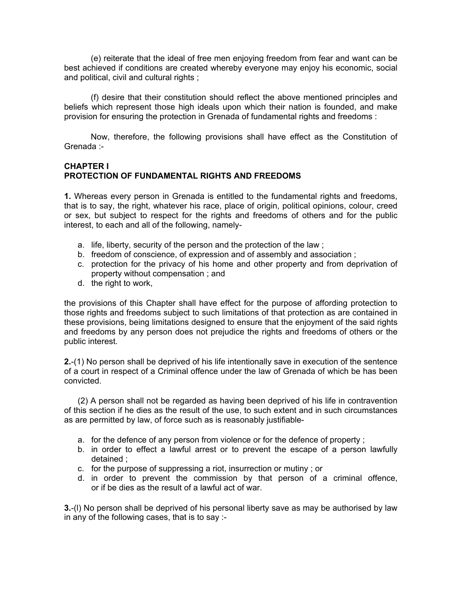(e) reiterate that the ideal of free men enjoying freedom from fear and want can be best achieved if conditions are created whereby everyone may enjoy his economic, social and political, civil and cultural rights ;

(f) desire that their constitution should reflect the above mentioned principles and beliefs which represent those high ideals upon which their nation is founded, and make provision for ensuring the protection in Grenada of fundamental rights and freedoms :

Now, therefore, the following provisions shall have effect as the Constitution of Grenada :-

### **CHAPTER I PROTECTION OF FUNDAMENTAL RIGHTS AND FREEDOMS**

**1.** Whereas every person in Grenada is entitled to the fundamental rights and freedoms, that is to say, the right, whatever his race, place of origin, political opinions, colour, creed or sex, but subject to respect for the rights and freedoms of others and for the public interest, to each and all of the following, namely-

- a. life, liberty, security of the person and the protection of the law ;
- b. freedom of conscience, of expression and of assembly and association ;
- c. protection for the privacy of his home and other property and from deprivation of property without compensation ; and
- d. the right to work,

the provisions of this Chapter shall have effect for the purpose of affording protection to those rights and freedoms subject to such limitations of that protection as are contained in these provisions, being limitations designed to ensure that the enjoyment of the said rights and freedoms by any person does not prejudice the rights and freedoms of others or the public interest.

**2.**-(1) No person shall be deprived of his life intentionally save in execution of the sentence of a court in respect of a Criminal offence under the law of Grenada of which be has been convicted.

(2) A person shall not be regarded as having been deprived of his life in contravention of this section if he dies as the result of the use, to such extent and in such circumstances as are permitted by law, of force such as is reasonably justifiable-

- a. for the defence of any person from violence or for the defence of property ;
- b. in order to effect a lawful arrest or to prevent the escape of a person lawfully detained ;
- c. for the purpose of suppressing a riot, insurrection or mutiny ; or
- d. in order to prevent the commission by that person of a criminal offence, or if be dies as the result of a lawful act of war.

**3.**-(l) No person shall be deprived of his personal liberty save as may be authorised by law in any of the following cases, that is to say :-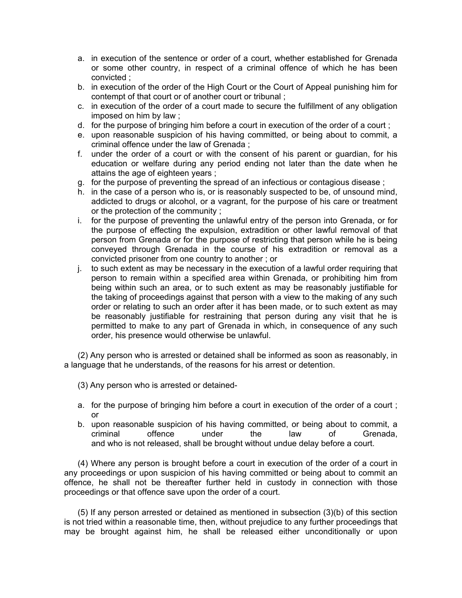- a. in execution of the sentence or order of a court, whether established for Grenada or some other country, in respect of a criminal offence of which he has been convicted ;
- b. in execution of the order of the High Court or the Court of Appeal punishing him for contempt of that court or of another court or tribunal ;
- c. in execution of the order of a court made to secure the fulfillment of any obligation imposed on him by law ;
- d. for the purpose of bringing him before a court in execution of the order of a court ;
- e. upon reasonable suspicion of his having committed, or being about to commit, a criminal offence under the law of Grenada ;
- f. under the order of a court or with the consent of his parent or guardian, for his education or welfare during any period ending not later than the date when he attains the age of eighteen years ;
- g. for the purpose of preventing the spread of an infectious or contagious disease ;
- h. in the case of a person who is, or is reasonably suspected to be, of unsound mind, addicted to drugs or alcohol, or a vagrant, for the purpose of his care or treatment or the protection of the community ;
- i. for the purpose of preventing the unlawful entry of the person into Grenada, or for the purpose of effecting the expulsion, extradition or other lawful removal of that person from Grenada or for the purpose of restricting that person while he is being conveyed through Grenada in the course of his extradition or removal as a convicted prisoner from one country to another ; or
- j. to such extent as may be necessary in the execution of a lawful order requiring that person to remain within a specified area within Grenada, or prohibiting him from being within such an area, or to such extent as may be reasonably justifiable for the taking of proceedings against that person with a view to the making of any such order or relating to such an order after it has been made, or to such extent as may be reasonably justifiable for restraining that person during any visit that he is permitted to make to any part of Grenada in which, in consequence of any such order, his presence would otherwise be unlawful.

(2) Any person who is arrested or detained shall be informed as soon as reasonably, in a language that he understands, of the reasons for his arrest or detention.

(3) Any person who is arrested or detained-

- a. for the purpose of bringing him before a court in execution of the order of a court ; or
- b. upon reasonable suspicion of his having committed, or being about to commit, a criminal offence under the law of Grenada, and who is not released, shall be brought without undue delay before a court.

(4) Where any person is brought before a court in execution of the order of a court in any proceedings or upon suspicion of his having committed or being about to commit an offence, he shall not be thereafter further held in custody in connection with those proceedings or that offence save upon the order of a court.

(5) If any person arrested or detained as mentioned in subsection (3)(b) of this section is not tried within a reasonable time, then, without prejudice to any further proceedings that may be brought against him, he shall be released either unconditionally or upon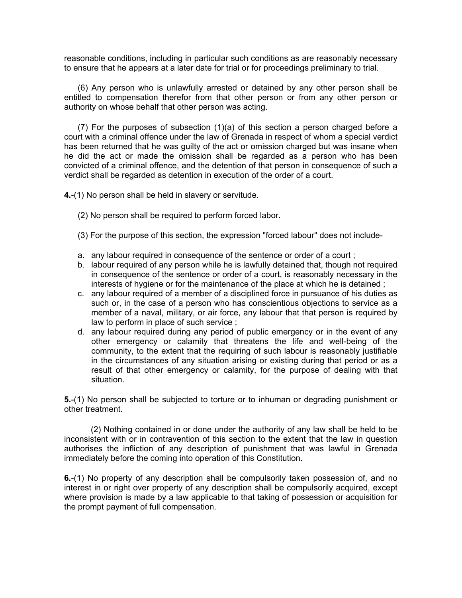reasonable conditions, including in particular such conditions as are reasonably necessary to ensure that he appears at a later date for trial or for proceedings preliminary to trial.

(6) Any person who is unlawfully arrested or detained by any other person shall be entitled to compensation therefor from that other person or from any other person or authority on whose behalf that other person was acting.

(7) For the purposes of subsection (1)(a) of this section a person charged before a court with a criminal offence under the law of Grenada in respect of whom a special verdict has been returned that he was guilty of the act or omission charged but was insane when he did the act or made the omission shall be regarded as a person who has been convicted of a criminal offence, and the detention of that person in consequence of such a verdict shall be regarded as detention in execution of the order of a court.

**4.**-(1) No person shall be held in slavery or servitude.

- (2) No person shall be required to perform forced labor.
- (3) For the purpose of this section, the expression "forced labour" does not include-
- a. any labour required in consequence of the sentence or order of a court ;
- b. labour required of any person while he is lawfully detained that, though not required in consequence of the sentence or order of a court, is reasonably necessary in the interests of hygiene or for the maintenance of the place at which he is detained ;
- c. any labour required of a member of a disciplined force in pursuance of his duties as such or, in the case of a person who has conscientious objections to service as a member of a naval, military, or air force, any labour that that person is required by law to perform in place of such service ;
- d. any labour required during any period of public emergency or in the event of any other emergency or calamity that threatens the life and well-being of the community, to the extent that the requiring of such labour is reasonably justifiable in the circumstances of any situation arising or existing during that period or as a result of that other emergency or calamity, for the purpose of dealing with that situation.

**5.**-(1) No person shall be subjected to torture or to inhuman or degrading punishment or other treatment.

(2) Nothing contained in or done under the authority of any law shall be held to be inconsistent with or in contravention of this section to the extent that the law in question authorises the infliction of any description of punishment that was lawful in Grenada immediately before the coming into operation of this Constitution.

**6.**-(1) No property of any description shall be compulsorily taken possession of, and no interest in or right over property of any description shall be compulsorily acquired, except where provision is made by a law applicable to that taking of possession or acquisition for the prompt payment of full compensation.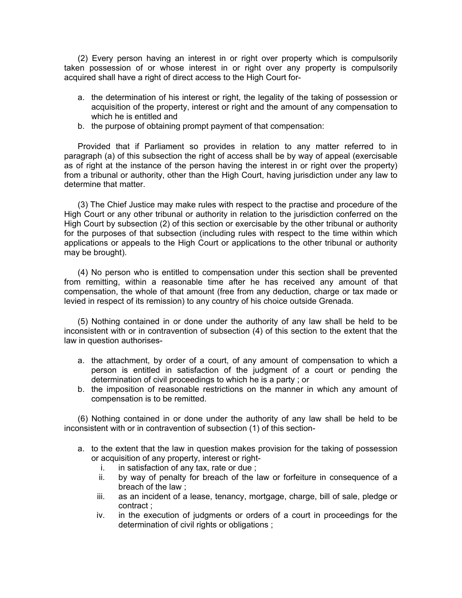(2) Every person having an interest in or right over property which is compulsorily taken possession of or whose interest in or right over any property is compulsorily acquired shall have a right of direct access to the High Court for-

- a. the determination of his interest or right, the legality of the taking of possession or acquisition of the property, interest or right and the amount of any compensation to which he is entitled and
- b. the purpose of obtaining prompt payment of that compensation:

Provided that if Parliament so provides in relation to any matter referred to in paragraph (a) of this subsection the right of access shall be by way of appeal (exercisable as of right at the instance of the person having the interest in or right over the property) from a tribunal or authority, other than the High Court, having jurisdiction under any law to determine that matter.

(3) The Chief Justice may make rules with respect to the practise and procedure of the High Court or any other tribunal or authority in relation to the jurisdiction conferred on the High Court by subsection (2) of this section or exercisable by the other tribunal or authority for the purposes of that subsection (including rules with respect to the time within which applications or appeals to the High Court or applications to the other tribunal or authority may be brought).

(4) No person who is entitled to compensation under this section shall be prevented from remitting, within a reasonable time after he has received any amount of that compensation, the whole of that amount (free from any deduction, charge or tax made or levied in respect of its remission) to any country of his choice outside Grenada.

(5) Nothing contained in or done under the authority of any law shall be held to be inconsistent with or in contravention of subsection (4) of this section to the extent that the law in question authorises-

- a. the attachment, by order of a court, of any amount of compensation to which a person is entitled in satisfaction of the judgment of a court or pending the determination of civil proceedings to which he is a party ; or
- b. the imposition of reasonable restrictions on the manner in which any amount of compensation is to be remitted.

(6) Nothing contained in or done under the authority of any law shall be held to be inconsistent with or in contravention of subsection (1) of this section-

- a. to the extent that the law in question makes provision for the taking of possession or acquisition of any property, interest or right
	- i. in satisfaction of any tax, rate or due ;
	- ii. by way of penalty for breach of the law or forfeiture in consequence of a breach of the law ;
	- iii. as an incident of a lease, tenancy, mortgage, charge, bill of sale, pledge or contract ;
	- iv. in the execution of judgments or orders of a court in proceedings for the determination of civil rights or obligations ;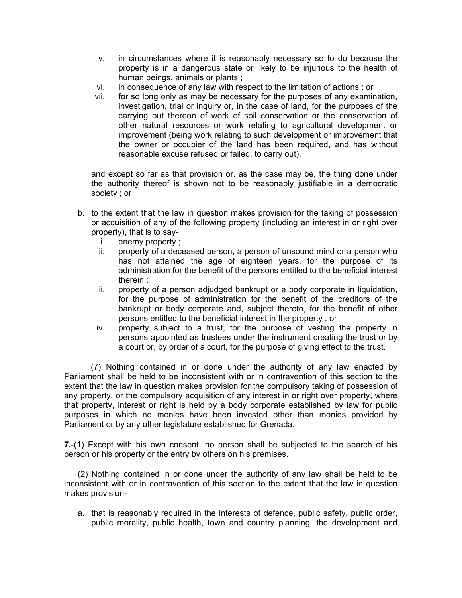- v. in circumstances where it is reasonably necessary so to do because the property is in a dangerous state or likely to be injurious to the health of human beings, animals or plants ;
- vi. in consequence of any law with respect to the limitation of actions ; or
- vii. for so long only as may be necessary for the purposes of any examination, investigation, trial or inquiry or, in the case of land, for the purposes of the carrying out thereon of work of soil conservation or the conservation of other natural resources or work relating to agricultural development or improvement (being work relating to such development or improvement that the owner or occupier of the land has been required, and has without reasonable excuse refused or failed, to carry out),

and except so far as that provision or, as the case may be, the thing done under the authority thereof is shown not to be reasonably justifiable in a democratic society ; or

- b. to the extent that the law in question makes provision for the taking of possession or acquisition of any of the following property (including an interest in or right over property), that is to say
	- i. enemy property ;
	- ii. property of a deceased person, a person of unsound mind or a person who has not attained the age of eighteen years, for the purpose of its administration for the benefit of the persons entitled to the beneficial interest therein ;
	- iii. property of a person adjudged bankrupt or a body corporate in liquidation, for the purpose of administration for the benefit of the creditors of the bankrupt or body corporate and, subject thereto, for the benefit of other persons entitled to the beneficial interest in the property , or
	- iv. property subject to a trust, for the purpose of vesting the property in persons appointed as trustees under the instrument creating the trust or by a court or, by order of a court, for the purpose of giving effect to the trust.

(7) Nothing contained in or done under the authority of any law enacted by Parliament shall be held to be inconsistent with or in contravention of this section to the extent that the law in question makes provision for the compulsory taking of possession of any property, or the compulsory acquisition of any interest in or right over property, where that property, interest or right is held by a body corporate established by law for public purposes in which no monies have been invested other than monies provided by Parliament or by any other legislature established for Grenada.

**7.**-(1) Except with his own consent, no person shall be subjected to the search of his person or his property or the entry by others on his premises.

(2) Nothing contained in or done under the authority of any law shall be held to be inconsistent with or in contravention of this section to the extent that the law in question makes provision-

a. that is reasonably required in the interests of defence, public safety, public order, public morality, public health, town and country planning, the development and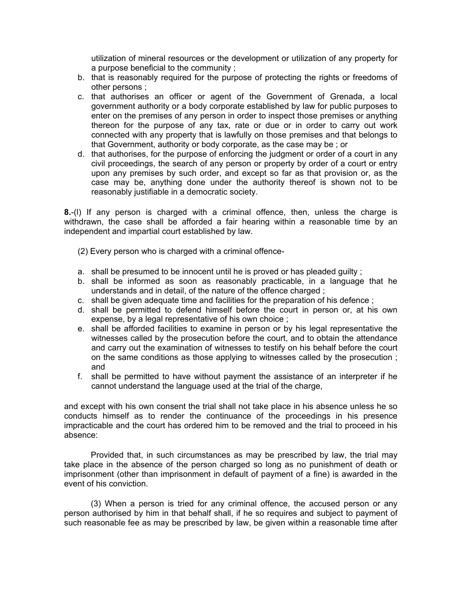utilization of mineral resources or the development or utilization of any property for a purpose beneficial to the community ;

- b. that is reasonably required for the purpose of protecting the rights or freedoms of other persons ;
- c. that authorises an officer or agent of the Government of Grenada, a local government authority or a body corporate established by law for public purposes to enter on the premises of any person in order to inspect those premises or anything thereon for the purpose of any tax, rate or due or in order to carry out work connected with any property that is lawfully on those premises and that belongs to that Government, authority or body corporate, as the case may be ; or
- d. that authorises, for the purpose of enforcing the judgment or order of a court in any civil proceedings, the search of any person or property by order of a court or entry upon any premises by such order, and except so far as that provision or, as the case may be, anything done under the authority thereof is shown not to be reasonably justifiable in a democratic society.

**8.**-(l) If any person is charged with a criminal offence, then, unless the charge is withdrawn, the case shall be afforded a fair hearing within a reasonable time by an independent and impartial court established by law.

(2) Every person who is charged with a criminal offence-

- a. shall be presumed to be innocent until he is proved or has pleaded guilty ;
- b. shall be informed as soon as reasonably practicable, in a language that he understands and in detail, of the nature of the offence charged ;
- c. shall be given adequate time and facilities for the preparation of his defence ;
- d. shall be permitted to defend himself before the court in person or, at his own expense, by a legal representative of his own choice ;
- e. shall be afforded facilities to examine in person or by his legal representative the witnesses called by the prosecution before the court, and to obtain the attendance and carry out the examination of witnesses to testify on his behalf before the court on the same conditions as those applying to witnesses called by the prosecution ; and
- f. shall be permitted to have without payment the assistance of an interpreter if he cannot understand the language used at the trial of the charge,

and except with his own consent the trial shall not take place in his absence unless he so conducts himself as to render the continuance of the proceedings in his presence impracticable and the court has ordered him to be removed and the trial to proceed in his absence:

Provided that, in such circumstances as may be prescribed by law, the trial may take place in the absence of the person charged so long as no punishment of death or imprisonment (other than imprisonment in default of payment of a fine) is awarded in the event of his conviction.

(3) When a person is tried for any criminal offence, the accused person or any person authorised by him in that behalf shall, if he so requires and subject to payment of such reasonable fee as may be prescribed by law, be given within a reasonable time after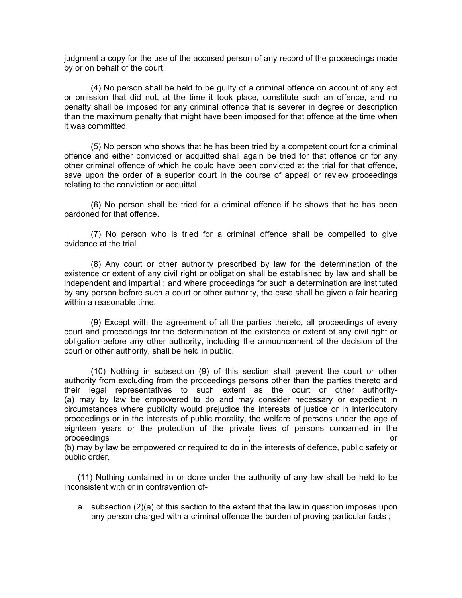judgment a copy for the use of the accused person of any record of the proceedings made by or on behalf of the court.

(4) No person shall be held to be guilty of a criminal offence on account of any act or omission that did not, at the time it took place, constitute such an offence, and no penalty shall be imposed for any criminal offence that is severer in degree or description than the maximum penalty that might have been imposed for that offence at the time when it was committed.

(5) No person who shows that he has been tried by a competent court for a criminal offence and either convicted or acquitted shall again be tried for that offence or for any other criminal offence of which he could have been convicted at the trial for that offence, save upon the order of a superior court in the course of appeal or review proceedings relating to the conviction or acquittal.

(6) No person shall be tried for a criminal offence if he shows that he has been pardoned for that offence.

(7) No person who is tried for a criminal offence shall be compelled to give evidence at the trial.

(8) Any court or other authority prescribed by law for the determination of the existence or extent of any civil right or obligation shall be established by law and shall be independent and impartial ; and where proceedings for such a determination are instituted by any person before such a court or other authority, the case shall be given a fair hearing within a reasonable time.

(9) Except with the agreement of all the parties thereto, all proceedings of every court and proceedings for the determination of the existence or extent of any civil right or obligation before any other authority, including the announcement of the decision of the court or other authority, shall be held in public.

(10) Nothing in subsection (9) of this section shall prevent the court or other authority from excluding from the proceedings persons other than the parties thereto and their legal representatives to such extent as the court or other authority- (a) may by law be empowered to do and may consider necessary or expedient in circumstances where publicity would prejudice the interests of justice or in interlocutory proceedings or in the interests of public morality, the welfare of persons under the age of eighteen years or the protection of the private lives of persons concerned in the proceedings in the set of the set of the set of the set of the set of the set of the set of the set of the set of the set of the set of the set of the set of the set of the set of the set of the set of the set of the set o (b) may by law be empowered or required to do in the interests of defence, public safety or public order.

(11) Nothing contained in or done under the authority of any law shall be held to be inconsistent with or in contravention of-

a. subsection (2)(a) of this section to the extent that the law in question imposes upon any person charged with a criminal offence the burden of proving particular facts ;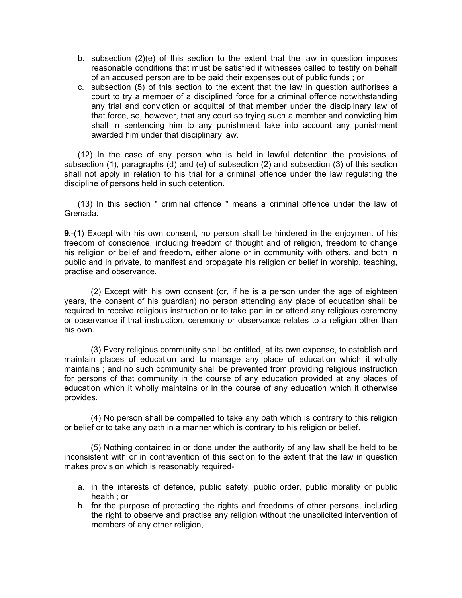- b. subsection (2)(e) of this section to the extent that the law in question imposes reasonable conditions that must be satisfied if witnesses called to testify on behalf of an accused person are to be paid their expenses out of public funds ; or
- c. subsection (5) of this section to the extent that the law in question authorises a court to try a member of a disciplined force for a criminal offence notwithstanding any trial and conviction or acquittal of that member under the disciplinary law of that force, so, however, that any court so trying such a member and convicting him shall in sentencing him to any punishment take into account any punishment awarded him under that disciplinary law.

(12) In the case of any person who is held in lawful detention the provisions of subsection (1), paragraphs (d) and (e) of subsection (2) and subsection (3) of this section shall not apply in relation to his trial for a criminal offence under the law regulating the discipline of persons held in such detention.

(13) In this section " criminal offence " means a criminal offence under the law of Grenada.

**9.**-(1) Except with his own consent, no person shall be hindered in the enjoyment of his freedom of conscience, including freedom of thought and of religion, freedom to change his religion or belief and freedom, either alone or in community with others, and both in public and in private, to manifest and propagate his religion or belief in worship, teaching, practise and observance.

(2) Except with his own consent (or, if he is a person under the age of eighteen years, the consent of his guardian) no person attending any place of education shall be required to receive religious instruction or to take part in or attend any religious ceremony or observance if that instruction, ceremony or observance relates to a religion other than his own.

(3) Every religious community shall be entitled, at its own expense, to establish and maintain places of education and to manage any place of education which it wholly maintains ; and no such community shall be prevented from providing religious instruction for persons of that community in the course of any education provided at any places of education which it wholly maintains or in the course of any education which it otherwise provides.

(4) No person shall be compelled to take any oath which is contrary to this religion or belief or to take any oath in a manner which is contrary to his religion or belief.

(5) Nothing contained in or done under the authority of any law shall be held to be inconsistent with or in contravention of this section to the extent that the law in question makes provision which is reasonably required-

- a. in the interests of defence, public safety, public order, public morality or public health ; or
- b. for the purpose of protecting the rights and freedoms of other persons, including the right to observe and practise any religion without the unsolicited intervention of members of any other religion,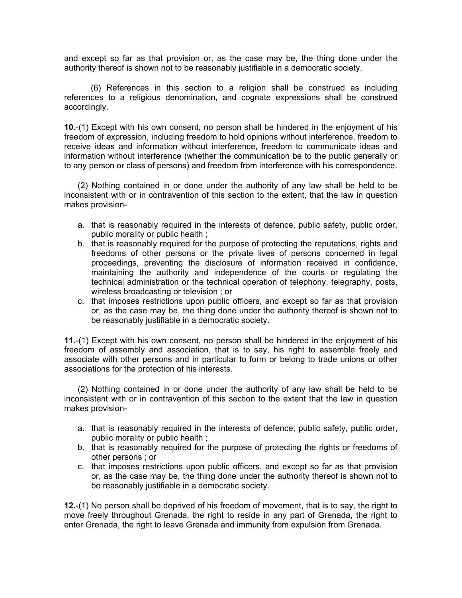and except so far as that provision or, as the case may be, the thing done under the authority thereof is shown not to be reasonably justifiable in a democratic society.

(6) References in this section to a religion shall be construed as including references to a religious denomination, and cognate expressions shall be construed accordingly.

**10.**-(1) Except with his own consent, no person shall be hindered in the enjoyment of his freedom of expression, including freedom to hold opinions without interference, freedom to receive ideas and information without interference, freedom to communicate ideas and information without interference (whether the communication be to the public generally or to any person or class of persons) and freedom from interference with his correspondence.

(2) Nothing contained in or done under the authority of any law shall be held to be inconsistent with or in contravention of this section to the extent, that the law in question makes provision-

- a. that is reasonably required in the interests of defence, public safety, public order, public morality or public health ;
- b. that is reasonably required for the purpose of protecting the reputations, rights and freedoms of other persons or the private lives of persons concerned in legal proceedings, preventing the disclosure of information received in confidence, maintaining the authority and independence of the courts or regulating the technical administration or the technical operation of telephony, telegraphy, posts, wireless broadcasting or television ; or
- c. that imposes restrictions upon public officers, and except so far as that provision or, as the case may be, the thing done under the authority thereof is shown not to be reasonably justifiable in a democratic society.

**11.**-(1) Except with his own consent, no person shall be hindered in the enjoyment of his freedom of assembly and association, that is to say, his right to assemble freely and associate with other persons and in particular to form or belong to trade unions or other associations for the protection of his interests.

(2) Nothing contained in or done under the authority of any law shall be held to be inconsistent with or in contravention of this section to the extent that the law in question makes provision-

- a. that is reasonably required in the interests of defence, public safety, public order, public morality or public health ;
- b. that is reasonably required for the purpose of protecting the rights or freedoms of other persons ; or
- c. that imposes restrictions upon public officers, and except so far as that provision or, as the case may be, the thing done under the authority thereof is shown not to be reasonably justifiable in a democratic society.

**12.**-(1) No person shall be deprived of his freedom of movement, that is to say, the right to move freely throughout Grenada, the right to reside in any part of Grenada, the right to enter Grenada, the right to leave Grenada and immunity from expulsion from Grenada.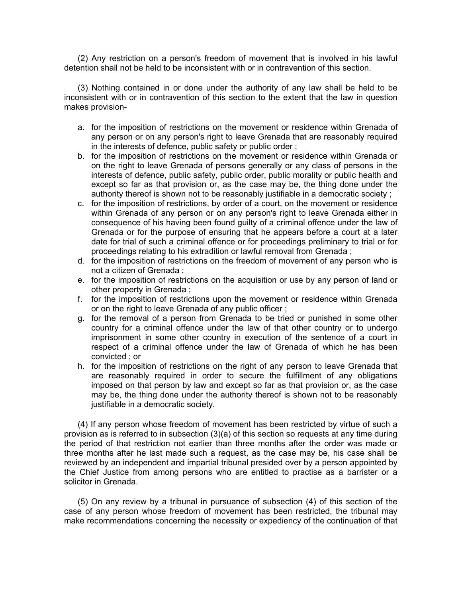(2) Any restriction on a person's freedom of movement that is involved in his lawful detention shall not be held to be inconsistent with or in contravention of this section.

(3) Nothing contained in or done under the authority of any law shall be held to be inconsistent with or in contravention of this section to the extent that the law in question makes provision-

- a. for the imposition of restrictions on the movement or residence within Grenada of any person or on any person's right to leave Grenada that are reasonably required in the interests of defence, public safety or public order ;
- b. for the imposition of restrictions on the movement or residence within Grenada or on the right to leave Grenada of persons generally or any class of persons in the interests of defence, public safety, public order, public morality or public health and except so far as that provision or, as the case may be, the thing done under the authority thereof is shown not to be reasonably justifiable in a democratic society ;
- c. for the imposition of restrictions, by order of a court, on the movement or residence within Grenada of any person or on any person's right to leave Grenada either in consequence of his having been found guilty of a criminal offence under the law of Grenada or for the purpose of ensuring that he appears before a court at a later date for trial of such a criminal offence or for proceedings preliminary to trial or for proceedings relating to his extradition or lawful removal from Grenada ;
- d. for the imposition of restrictions on the freedom of movement of any person who is not a citizen of Grenada ;
- e. for the imposition of restrictions on the acquisition or use by any person of land or other property in Grenada ;
- f. for the imposition of restrictions upon the movement or residence within Grenada or on the right to leave Grenada of any public officer ;
- g. for the removal of a person from Grenada to be tried or punished in some other country for a criminal offence under the law of that other country or to undergo imprisonment in some other country in execution of the sentence of a court in respect of a criminal offence under the law of Grenada of which he has been convicted ; or
- h. for the imposition of restrictions on the right of any person to leave Grenada that are reasonably required in order to secure the fulfillment of any obligations imposed on that person by law and except so far as that provision or, as the case may be, the thing done under the authority thereof is shown not to be reasonably justifiable in a democratic society.

(4) If any person whose freedom of movement has been restricted by virtue of such a provision as is referred to in subsection (3)(a) of this section so requests at any time during the period of that restriction not earlier than three months after the order was made or three months after he last made such a request, as the case may be, his case shall be reviewed by an independent and impartial tribunal presided over by a person appointed by the Chief Justice from among persons who are entitled to practise as a barrister or a solicitor in Grenada.

(5) On any review by a tribunal in pursuance of subsection (4) of this section of the case of any person whose freedom of movement has been restricted, the tribunal may make recommendations concerning the necessity or expediency of the continuation of that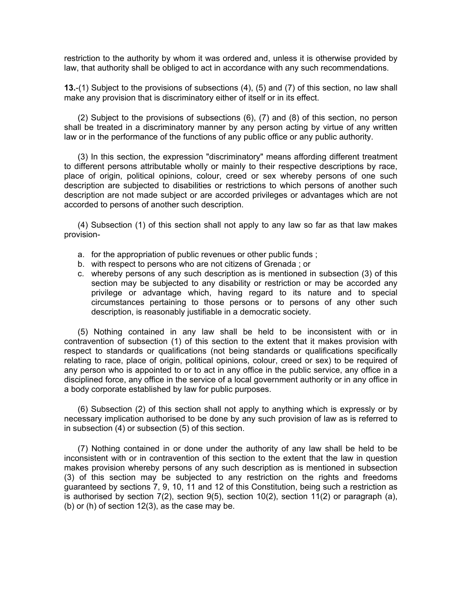restriction to the authority by whom it was ordered and, unless it is otherwise provided by law, that authority shall be obliged to act in accordance with any such recommendations.

**13.**-(1) Subject to the provisions of subsections (4), (5) and (7) of this section, no law shall make any provision that is discriminatory either of itself or in its effect.

(2) Subject to the provisions of subsections (6), (7) and (8) of this section, no person shall be treated in a discriminatory manner by any person acting by virtue of any written law or in the performance of the functions of any public office or any public authority.

(3) In this section, the expression "discriminatory" means affording different treatment to different persons attributable wholly or mainly to their respective descriptions by race, place of origin, political opinions, colour, creed or sex whereby persons of one such description are subjected to disabilities or restrictions to which persons of another such description are not made subject or are accorded privileges or advantages which are not accorded to persons of another such description.

(4) Subsection (1) of this section shall not apply to any law so far as that law makes provision-

- a. for the appropriation of public revenues or other public funds ;
- b. with respect to persons who are not citizens of Grenada ; or
- c. whereby persons of any such description as is mentioned in subsection (3) of this section may be subjected to any disability or restriction or may be accorded any privilege or advantage which, having regard to its nature and to special circumstances pertaining to those persons or to persons of any other such description, is reasonably justifiable in a democratic society.

(5) Nothing contained in any law shall be held to be inconsistent with or in contravention of subsection (1) of this section to the extent that it makes provision with respect to standards or qualifications (not being standards or qualifications specifically relating to race, place of origin, political opinions, colour, creed or sex) to be required of any person who is appointed to or to act in any office in the public service, any office in a disciplined force, any office in the service of a local government authority or in any office in a body corporate established by law for public purposes.

(6) Subsection (2) of this section shall not apply to anything which is expressly or by necessary implication authorised to be done by any such provision of law as is referred to in subsection (4) or subsection (5) of this section.

(7) Nothing contained in or done under the authority of any law shall be held to be inconsistent with or in contravention of this section to the extent that the law in question makes provision whereby persons of any such description as is mentioned in subsection (3) of this section may be subjected to any restriction on the rights and freedoms guaranteed by sections 7, 9, 10, 11 and 12 of this Constitution, being such a restriction as is authorised by section 7(2), section 9(5), section 10(2), section 11(2) or paragraph (a), (b) or (h) of section 12(3), as the case may be.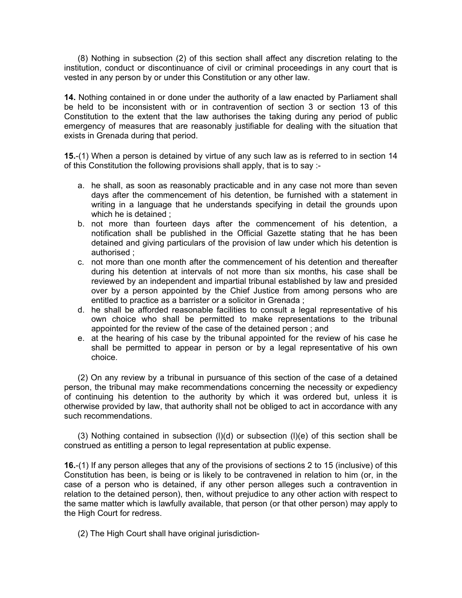(8) Nothing in subsection (2) of this section shall affect any discretion relating to the institution, conduct or discontinuance of civil or criminal proceedings in any court that is vested in any person by or under this Constitution or any other law.

**14.** Nothing contained in or done under the authority of a law enacted by Parliament shall be held to be inconsistent with or in contravention of section 3 or section 13 of this Constitution to the extent that the law authorises the taking during any period of public emergency of measures that are reasonably justifiable for dealing with the situation that exists in Grenada during that period.

**15.**-(1) When a person is detained by virtue of any such law as is referred to in section 14 of this Constitution the following provisions shall apply, that is to say :-

- a. he shall, as soon as reasonably practicable and in any case not more than seven days after the commencement of his detention, be furnished with a statement in writing in a language that he understands specifying in detail the grounds upon which he is detained ;
- b. not more than fourteen days after the commencement of his detention, a notification shall be published in the Official Gazette stating that he has been detained and giving particulars of the provision of law under which his detention is authorised ;
- c. not more than one month after the commencement of his detention and thereafter during his detention at intervals of not more than six months, his case shall be reviewed by an independent and impartial tribunal established by law and presided over by a person appointed by the Chief Justice from among persons who are entitled to practice as a barrister or a solicitor in Grenada ;
- d. he shall be afforded reasonable facilities to consult a legal representative of his own choice who shall be permitted to make representations to the tribunal appointed for the review of the case of the detained person ; and
- e. at the hearing of his case by the tribunal appointed for the review of his case he shall be permitted to appear in person or by a legal representative of his own choice.

(2) On any review by a tribunal in pursuance of this section of the case of a detained person, the tribunal may make recommendations concerning the necessity or expediency of continuing his detention to the authority by which it was ordered but, unless it is otherwise provided by law, that authority shall not be obliged to act in accordance with any such recommendations.

(3) Nothing contained in subsection (l)(d) or subsection (l)(e) of this section shall be construed as entitling a person to legal representation at public expense.

**16.**-(1) If any person alleges that any of the provisions of sections 2 to 15 (inclusive) of this Constitution has been, is being or is likely to be contravened in relation to him (or, in the case of a person who is detained, if any other person alleges such a contravention in relation to the detained person), then, without prejudice to any other action with respect to the same matter which is lawfully available, that person (or that other person) may apply to the High Court for redress.

(2) The High Court shall have original jurisdiction-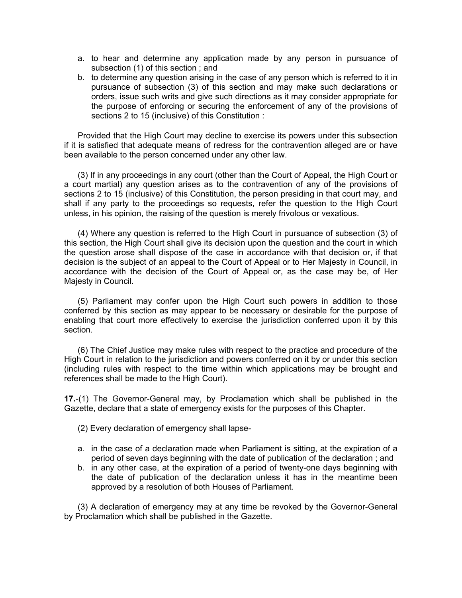- a. to hear and determine any application made by any person in pursuance of subsection (1) of this section ; and
- b. to determine any question arising in the case of any person which is referred to it in pursuance of subsection (3) of this section and may make such declarations or orders, issue such writs and give such directions as it may consider appropriate for the purpose of enforcing or securing the enforcement of any of the provisions of sections 2 to 15 (inclusive) of this Constitution :

Provided that the High Court may decline to exercise its powers under this subsection if it is satisfied that adequate means of redress for the contravention alleged are or have been available to the person concerned under any other law.

(3) If in any proceedings in any court (other than the Court of Appeal, the High Court or a court martial) any question arises as to the contravention of any of the provisions of sections 2 to 15 (inclusive) of this Constitution, the person presiding in that court may, and shall if any party to the proceedings so requests, refer the question to the High Court unless, in his opinion, the raising of the question is merely frivolous or vexatious.

(4) Where any question is referred to the High Court in pursuance of subsection (3) of this section, the High Court shall give its decision upon the question and the court in which the question arose shall dispose of the case in accordance with that decision or, if that decision is the subject of an appeal to the Court of Appeal or to Her Majesty in Council, in accordance with the decision of the Court of Appeal or, as the case may be, of Her Majesty in Council.

(5) Parliament may confer upon the High Court such powers in addition to those conferred by this section as may appear to be necessary or desirable for the purpose of enabling that court more effectively to exercise the jurisdiction conferred upon it by this section.

(6) The Chief Justice may make rules with respect to the practice and procedure of the High Court in relation to the jurisdiction and powers conferred on it by or under this section (including rules with respect to the time within which applications may be brought and references shall be made to the High Court).

**17.**-(1) The Governor-General may, by Proclamation which shall be published in the Gazette, declare that a state of emergency exists for the purposes of this Chapter.

(2) Every declaration of emergency shall lapse-

- a. in the case of a declaration made when Parliament is sitting, at the expiration of a period of seven days beginning with the date of publication of the declaration ; and
- b. in any other case, at the expiration of a period of twenty-one days beginning with the date of publication of the declaration unless it has in the meantime been approved by a resolution of both Houses of Parliament.

(3) A declaration of emergency may at any time be revoked by the Governor-General by Proclamation which shall be published in the Gazette.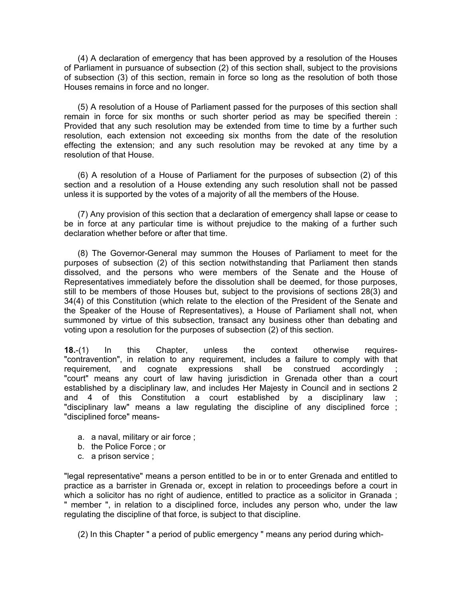(4) A declaration of emergency that has been approved by a resolution of the Houses of Parliament in pursuance of subsection (2) of this section shall, subject to the provisions of subsection (3) of this section, remain in force so long as the resolution of both those Houses remains in force and no longer.

(5) A resolution of a House of Parliament passed for the purposes of this section shall remain in force for six months or such shorter period as may be specified therein : Provided that any such resolution may be extended from time to time by a further such resolution, each extension not exceeding six months from the date of the resolution effecting the extension; and any such resolution may be revoked at any time by a resolution of that House.

(6) A resolution of a House of Parliament for the purposes of subsection (2) of this section and a resolution of a House extending any such resolution shall not be passed unless it is supported by the votes of a majority of all the members of the House.

(7) Any provision of this section that a declaration of emergency shall lapse or cease to be in force at any particular time is without prejudice to the making of a further such declaration whether before or after that time.

(8) The Governor-General may summon the Houses of Parliament to meet for the purposes of subsection (2) of this section notwithstanding that Parliament then stands dissolved, and the persons who were members of the Senate and the House of Representatives immediately before the dissolution shall be deemed, for those purposes, still to be members of those Houses but, subject to the provisions of sections 28(3) and 34(4) of this Constitution (which relate to the election of the President of the Senate and the Speaker of the House of Representatives), a House of Parliament shall not, when summoned by virtue of this subsection, transact any business other than debating and voting upon a resolution for the purposes of subsection (2) of this section.

**18.**-(1) In this Chapter, unless the context otherwise requires- "contravention", in relation to any requirement, includes a failure to comply with that requirement, and cognate expressions shall be construed accordingly "court" means any court of law having jurisdiction in Grenada other than a court established by a disciplinary law, and includes Her Majesty in Council and in sections 2 and 4 of this Constitution a court established by a disciplinary law "disciplinary law" means a law regulating the discipline of any disciplined force ; "disciplined force" means-

- a. a naval, military or air force ;
- b. the Police Force ; or
- c. a prison service ;

"legal representative" means a person entitled to be in or to enter Grenada and entitled to practice as a barrister in Grenada or, except in relation to proceedings before a court in which a solicitor has no right of audience, entitled to practice as a solicitor in Granada; " member ", in relation to a disciplined force, includes any person who, under the law regulating the discipline of that force, is subject to that discipline.

(2) In this Chapter " a period of public emergency " means any period during which-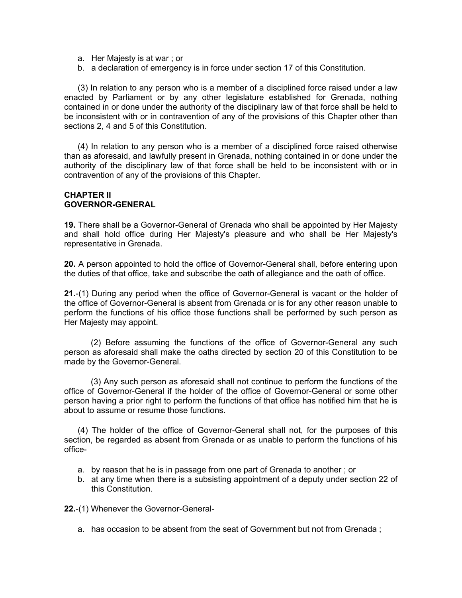- a. Her Majesty is at war ; or
- b. a declaration of emergency is in force under section 17 of this Constitution.

(3) In relation to any person who is a member of a disciplined force raised under a law enacted by Parliament or by any other legislature established for Grenada, nothing contained in or done under the authority of the disciplinary law of that force shall be held to be inconsistent with or in contravention of any of the provisions of this Chapter other than sections 2, 4 and 5 of this Constitution.

(4) In relation to any person who is a member of a disciplined force raised otherwise than as aforesaid, and lawfully present in Grenada, nothing contained in or done under the authority of the disciplinary law of that force shall be held to be inconsistent with or in contravention of any of the provisions of this Chapter.

### **CHAPTER II GOVERNOR-GENERAL**

**19.** There shall be a Governor-General of Grenada who shall be appointed by Her Majesty and shall hold office during Her Majesty's pleasure and who shall be Her Majesty's representative in Grenada.

**20.** A person appointed to hold the office of Governor-General shall, before entering upon the duties of that office, take and subscribe the oath of allegiance and the oath of office.

**21.**-(1) During any period when the office of Governor-General is vacant or the holder of the office of Governor-General is absent from Grenada or is for any other reason unable to perform the functions of his office those functions shall be performed by such person as Her Majesty may appoint.

(2) Before assuming the functions of the office of Governor-General any such person as aforesaid shall make the oaths directed by section 20 of this Constitution to be made by the Governor-General.

(3) Any such person as aforesaid shall not continue to perform the functions of the office of Governor-General if the holder of the office of Governor-General or some other person having a prior right to perform the functions of that office has notified him that he is about to assume or resume those functions.

(4) The holder of the office of Governor-General shall not, for the purposes of this section, be regarded as absent from Grenada or as unable to perform the functions of his office-

- a. by reason that he is in passage from one part of Grenada to another ; or
- b. at any time when there is a subsisting appointment of a deputy under section 22 of this Constitution.

**22.**-(1) Whenever the Governor-General-

a. has occasion to be absent from the seat of Government but not from Grenada ;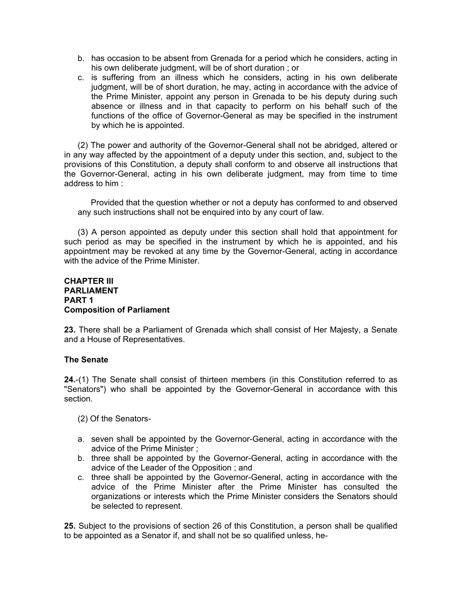- b. has occasion to be absent from Grenada for a period which he considers, acting in his own deliberate judgment, will be of short duration ; or
- c. is suffering from an illness which he considers, acting in his own deliberate judgment, will be of short duration, he may, acting in accordance with the advice of the Prime Minister, appoint any person in Grenada to be his deputy during such absence or illness and in that capacity to perform on his behalf such of the functions of the office of Governor-General as may be specified in the instrument by which he is appointed.

(2) The power and authority of the Governor-General shall not be abridged, altered or in any way affected by the appointment of a deputy under this section, and, subject to the provisions of this Constitution, a deputy shall conform to and observe all instructions that the Governor-General, acting in his own deliberate judgment, may from time to time address to him :

Provided that the question whether or not a deputy has conformed to and observed any such instructions shall not be enquired into by any court of law.

(3) A person appointed as deputy under this section shall hold that appointment for such period as may be specified in the instrument by which he is appointed, and his appointment may be revoked at any time by the Governor-General, acting in accordance with the advice of the Prime Minister.

### **CHAPTER III PARLIAMENT PART 1 Composition of Parliament**

**23.** There shall be a Parliament of Grenada which shall consist of Her Majesty, a Senate and a House of Representatives.

### **The Senate**

**24.**-(1) The Senate shall consist of thirteen members (in this Constitution referred to as "Senators") who shall be appointed by the Governor-General in accordance with this section.

(2) Of the Senators-

- a. seven shall be appointed by the Governor-General, acting in accordance with the advice of the Prime Minister ;
- b. three shall be appointed by the Governor-General, acting in accordance with the advice of the Leader of the Opposition ; and
- c. three shall be appointed by the Governor-General, acting in accordance with the advice of the Prime Minister after the Prime Minister has consulted the organizations or interests which the Prime Minister considers the Senators should be selected to represent.

**25.** Subject to the provisions of section 26 of this Constitution, a person shall be qualified to be appointed as a Senator if, and shall not be so qualified unless, he-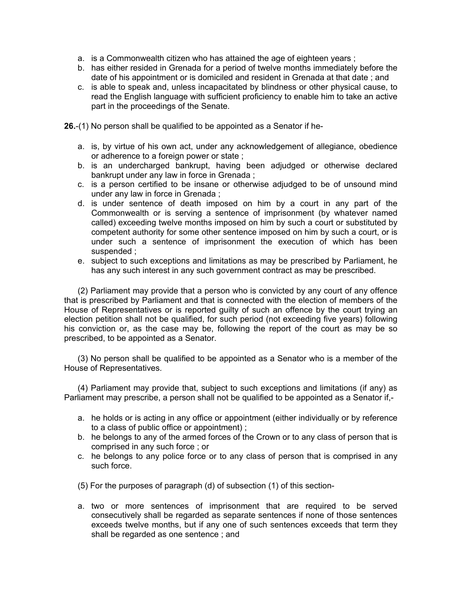- a. is a Commonwealth citizen who has attained the age of eighteen years ;
- b. has either resided in Grenada for a period of twelve months immediately before the date of his appointment or is domiciled and resident in Grenada at that date ; and
- c. is able to speak and, unless incapacitated by blindness or other physical cause, to read the English language with sufficient proficiency to enable him to take an active part in the proceedings of the Senate.

**26.**-(1) No person shall be qualified to be appointed as a Senator if he-

- a. is, by virtue of his own act, under any acknowledgement of allegiance, obedience or adherence to a foreign power or state ;
- b. is an undercharged bankrupt, having been adjudged or otherwise declared bankrupt under any law in force in Grenada ;
- c. is a person certified to be insane or otherwise adjudged to be of unsound mind under any law in force in Grenada ;
- d. is under sentence of death imposed on him by a court in any part of the Commonwealth or is serving a sentence of imprisonment (by whatever named called) exceeding twelve months imposed on him by such a court or substituted by competent authority for some other sentence imposed on him by such a court, or is under such a sentence of imprisonment the execution of which has been suspended ;
- e. subject to such exceptions and limitations as may be prescribed by Parliament, he has any such interest in any such government contract as may be prescribed.

(2) Parliament may provide that a person who is convicted by any court of any offence that is prescribed by Parliament and that is connected with the election of members of the House of Representatives or is reported guilty of such an offence by the court trying an election petition shall not be qualified, for such period (not exceeding five years) following his conviction or, as the case may be, following the report of the court as may be so prescribed, to be appointed as a Senator.

(3) No person shall be qualified to be appointed as a Senator who is a member of the House of Representatives.

(4) Parliament may provide that, subject to such exceptions and limitations (if any) as Parliament may prescribe, a person shall not be qualified to be appointed as a Senator if,-

- a. he holds or is acting in any office or appointment (either individually or by reference to a class of public office or appointment) ;
- b. he belongs to any of the armed forces of the Crown or to any class of person that is comprised in any such force ; or
- c. he belongs to any police force or to any class of person that is comprised in any such force.

(5) For the purposes of paragraph (d) of subsection (1) of this section-

a. two or more sentences of imprisonment that are required to be served consecutively shall be regarded as separate sentences if none of those sentences exceeds twelve months, but if any one of such sentences exceeds that term they shall be regarded as one sentence ; and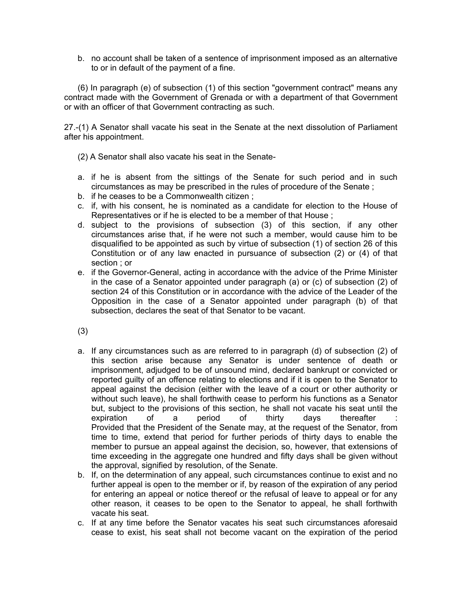b. no account shall be taken of a sentence of imprisonment imposed as an alternative to or in default of the payment of a fine.

(6) In paragraph (e) of subsection (1) of this section "government contract" means any contract made with the Government of Grenada or with a department of that Government or with an officer of that Government contracting as such.

27.-(1) A Senator shall vacate his seat in the Senate at the next dissolution of Parliament after his appointment.

- (2) A Senator shall also vacate his seat in the Senate-
- a. if he is absent from the sittings of the Senate for such period and in such circumstances as may be prescribed in the rules of procedure of the Senate ;
- b. if he ceases to be a Commonwealth citizen ;
- c. if, with his consent, he is nominated as a candidate for election to the House of Representatives or if he is elected to be a member of that House ;
- d. subject to the provisions of subsection (3) of this section, if any other circumstances arise that, if he were not such a member, would cause him to be disqualified to be appointed as such by virtue of subsection (1) of section 26 of this Constitution or of any law enacted in pursuance of subsection (2) or (4) of that section ; or
- e. if the Governor-General, acting in accordance with the advice of the Prime Minister in the case of a Senator appointed under paragraph (a) or (c) of subsection (2) of section 24 of this Constitution or in accordance with the advice of the Leader of the Opposition in the case of a Senator appointed under paragraph (b) of that subsection, declares the seat of that Senator to be vacant.

(3)

- a. If any circumstances such as are referred to in paragraph (d) of subsection (2) of this section arise because any Senator is under sentence of death or imprisonment, adjudged to be of unsound mind, declared bankrupt or convicted or reported guilty of an offence relating to elections and if it is open to the Senator to appeal against the decision (either with the leave of a court or other authority or without such leave), he shall forthwith cease to perform his functions as a Senator but, subject to the provisions of this section, he shall not vacate his seat until the expiration of a period of thirty days thereafter Provided that the President of the Senate may, at the request of the Senator, from time to time, extend that period for further periods of thirty days to enable the member to pursue an appeal against the decision, so, however, that extensions of time exceeding in the aggregate one hundred and fifty days shall be given without the approval, signified by resolution, of the Senate.
- b. If, on the determination of any appeal, such circumstances continue to exist and no further appeal is open to the member or if, by reason of the expiration of any period for entering an appeal or notice thereof or the refusal of leave to appeal or for any other reason, it ceases to be open to the Senator to appeal, he shall forthwith vacate his seat.
- c. If at any time before the Senator vacates his seat such circumstances aforesaid cease to exist, his seat shall not become vacant on the expiration of the period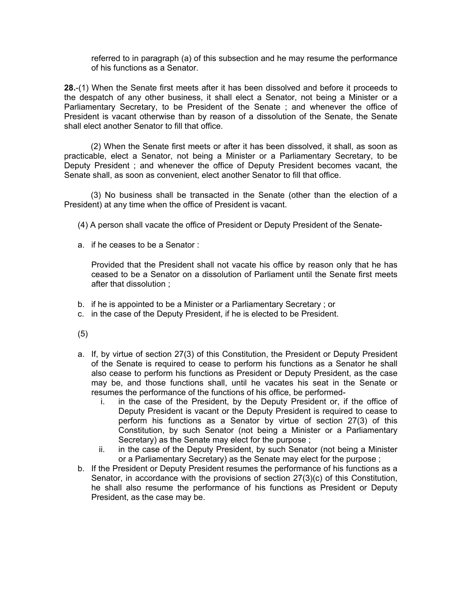referred to in paragraph (a) of this subsection and he may resume the performance of his functions as a Senator.

**28.**-(1) When the Senate first meets after it has been dissolved and before it proceeds to the despatch of any other business, it shall elect a Senator, not being a Minister or a Parliamentary Secretary, to be President of the Senate ; and whenever the office of President is vacant otherwise than by reason of a dissolution of the Senate, the Senate shall elect another Senator to fill that office.

(2) When the Senate first meets or after it has been dissolved, it shall, as soon as practicable, elect a Senator, not being a Minister or a Parliamentary Secretary, to be Deputy President ; and whenever the office of Deputy President becomes vacant, the Senate shall, as soon as convenient, elect another Senator to fill that office.

(3) No business shall be transacted in the Senate (other than the election of a President) at any time when the office of President is vacant.

(4) A person shall vacate the office of President or Deputy President of the Senate-

a. if he ceases to be a Senator :

Provided that the President shall not vacate his office by reason only that he has ceased to be a Senator on a dissolution of Parliament until the Senate first meets after that dissolution ;

- b. if he is appointed to be a Minister or a Parliamentary Secretary ; or
- c. in the case of the Deputy President, if he is elected to be President.

(5)

- a. If, by virtue of section 27(3) of this Constitution, the President or Deputy President of the Senate is required to cease to perform his functions as a Senator he shall also cease to perform his functions as President or Deputy President, as the case may be, and those functions shall, until he vacates his seat in the Senate or resumes the performance of the functions of his office, be performed
	- i. in the case of the President, by the Deputy President or, if the office of Deputy President is vacant or the Deputy President is required to cease to perform his functions as a Senator by virtue of section 27(3) of this Constitution, by such Senator (not being a Minister or a Parliamentary Secretary) as the Senate may elect for the purpose ;
	- ii. in the case of the Deputy President, by such Senator (not being a Minister or a Parliamentary Secretary) as the Senate may elect for the purpose ;
- b. If the President or Deputy President resumes the performance of his functions as a Senator, in accordance with the provisions of section 27(3)(c) of this Constitution, he shall also resume the performance of his functions as President or Deputy President, as the case may be.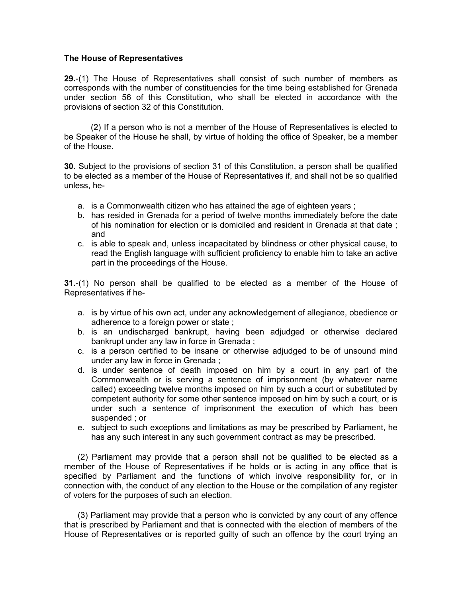### **The House of Representatives**

**29.**-(1) The House of Representatives shall consist of such number of members as corresponds with the number of constituencies for the time being established for Grenada under section 56 of this Constitution, who shall be elected in accordance with the provisions of section 32 of this Constitution.

(2) If a person who is not a member of the House of Representatives is elected to be Speaker of the House he shall, by virtue of holding the office of Speaker, be a member of the House.

**30.** Subject to the provisions of section 31 of this Constitution, a person shall be qualified to be elected as a member of the House of Representatives if, and shall not be so qualified unless, he-

- a. is a Commonwealth citizen who has attained the age of eighteen years ;
- b. has resided in Grenada for a period of twelve months immediately before the date of his nomination for election or is domiciled and resident in Grenada at that date ; and
- c. is able to speak and, unless incapacitated by blindness or other physical cause, to read the English language with sufficient proficiency to enable him to take an active part in the proceedings of the House.

**31.**-(1) No person shall be qualified to be elected as a member of the House of Representatives if he-

- a. is by virtue of his own act, under any acknowledgement of allegiance, obedience or adherence to a foreign power or state ;
- b. is an undischarged bankrupt, having been adjudged or otherwise declared bankrupt under any law in force in Grenada ;
- c. is a person certified to be insane or otherwise adjudged to be of unsound mind under any law in force in Grenada ;
- d. is under sentence of death imposed on him by a court in any part of the Commonwealth or is serving a sentence of imprisonment (by whatever name called) exceeding twelve months imposed on him by such a court or substituted by competent authority for some other sentence imposed on him by such a court, or is under such a sentence of imprisonment the execution of which has been suspended ; or
- e. subject to such exceptions and limitations as may be prescribed by Parliament, he has any such interest in any such government contract as may be prescribed.

(2) Parliament may provide that a person shall not be qualified to be elected as a member of the House of Representatives if he holds or is acting in any office that is specified by Parliament and the functions of which involve responsibility for, or in connection with, the conduct of any election to the House or the compilation of any register of voters for the purposes of such an election.

(3) Parliament may provide that a person who is convicted by any court of any offence that is prescribed by Parliament and that is connected with the election of members of the House of Representatives or is reported guilty of such an offence by the court trying an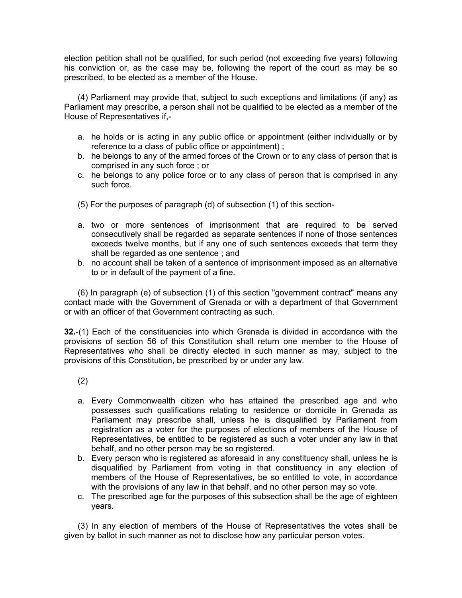election petition shall not be qualified, for such period (not exceeding five years) following his conviction or, as the case may be, following the report of the court as may be so prescribed, to be elected as a member of the House.

(4) Parliament may provide that, subject to such exceptions and limitations (if any) as Parliament may prescribe, a person shall not be qualified to be elected as a member of the House of Representatives if,-

- a. he holds or is acting in any public office or appointment (either individually or by reference to a class of public office or appointment) ;
- b. he belongs to any of the armed forces of the Crown or to any class of person that is comprised in any such force ; or
- c. he belongs to any police force or to any class of person that is comprised in any such force.
- (5) For the purposes of paragraph (d) of subsection (1) of this section-
- a. two or more sentences of imprisonment that are required to be served consecutively shall be regarded as separate sentences if none of those sentences exceeds twelve months, but if any one of such sentences exceeds that term they shall be regarded as one sentence ; and
- b. no account shall be taken of a sentence of imprisonment imposed as an alternative to or in default of the payment of a fine.

(6) In paragraph (e) of subsection (1) of this section "government contract" means any contact made with the Government of Grenada or with a department of that Government or with an officer of that Government contracting as such.

**32.**-(1) Each of the constituencies into which Grenada is divided in accordance with the provisions of section 56 of this Constitution shall return one member to the House of Representatives who shall be directly elected in such manner as may, subject to the provisions of this Constitution, be prescribed by or under any law.

- (2)
- a. Every Commonwealth citizen who has attained the prescribed age and who possesses such qualifications relating to residence or domicile in Grenada as Parliament may prescribe shall, unless he is disqualified by Parliament from registration as a voter for the purposes of elections of members of the House of Representatives, be entitled to be registered as such a voter under any law in that behalf, and no other person may be so registered.
- b. Every person who is registered as aforesaid in any constituency shall, unless he is disqualified by Parliament from voting in that constituency in any election of members of the House of Representatives, be so entitled to vote, in accordance with the provisions of any law in that behalf, and no other person may so vote.
- c. The prescribed age for the purposes of this subsection shall be the age of eighteen years.

(3) In any election of members of the House of Representatives the votes shall be given by ballot in such manner as not to disclose how any particular person votes.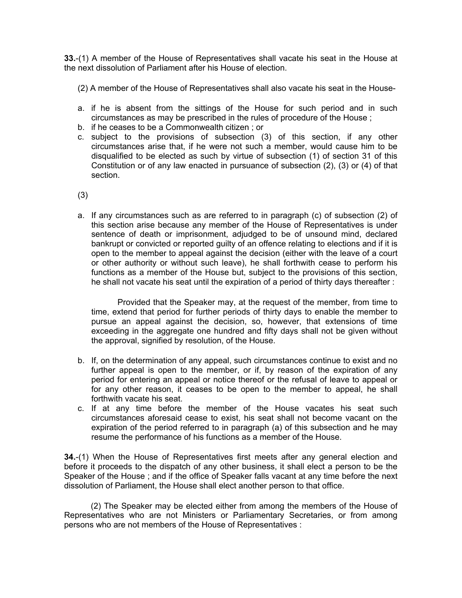**33.**-(1) A member of the House of Representatives shall vacate his seat in the House at the next dissolution of Parliament after his House of election.

(2) A member of the House of Representatives shall also vacate his seat in the House-

- a. if he is absent from the sittings of the House for such period and in such circumstances as may be prescribed in the rules of procedure of the House ;
- b. if he ceases to be a Commonwealth citizen ; or
- c. subject to the provisions of subsection (3) of this section, if any other circumstances arise that, if he were not such a member, would cause him to be disqualified to be elected as such by virtue of subsection (1) of section 31 of this Constitution or of any law enacted in pursuance of subsection (2), (3) or (4) of that section.

(3)

a. If any circumstances such as are referred to in paragraph (c) of subsection (2) of this section arise because any member of the House of Representatives is under sentence of death or imprisonment, adjudged to be of unsound mind, declared bankrupt or convicted or reported guilty of an offence relating to elections and if it is open to the member to appeal against the decision (either with the leave of a court or other authority or without such leave), he shall forthwith cease to perform his functions as a member of the House but, subject to the provisions of this section, he shall not vacate his seat until the expiration of a period of thirty days thereafter :

Provided that the Speaker may, at the request of the member, from time to time, extend that period for further periods of thirty days to enable the member to pursue an appeal against the decision, so, however, that extensions of time exceeding in the aggregate one hundred and fifty days shall not be given without the approval, signified by resolution, of the House.

- b. If, on the determination of any appeal, such circumstances continue to exist and no further appeal is open to the member, or if, by reason of the expiration of any period for entering an appeal or notice thereof or the refusal of leave to appeal or for any other reason, it ceases to be open to the member to appeal, he shall forthwith vacate his seat.
- c. If at any time before the member of the House vacates his seat such circumstances aforesaid cease to exist, his seat shall not become vacant on the expiration of the period referred to in paragraph (a) of this subsection and he may resume the performance of his functions as a member of the House.

**34.**-(1) When the House of Representatives first meets after any general election and before it proceeds to the dispatch of any other business, it shall elect a person to be the Speaker of the House ; and if the office of Speaker falls vacant at any time before the next dissolution of Parliament, the House shall elect another person to that office.

(2) The Speaker may be elected either from among the members of the House of Representatives who are not Ministers or Parliamentary Secretaries, or from among persons who are not members of the House of Representatives :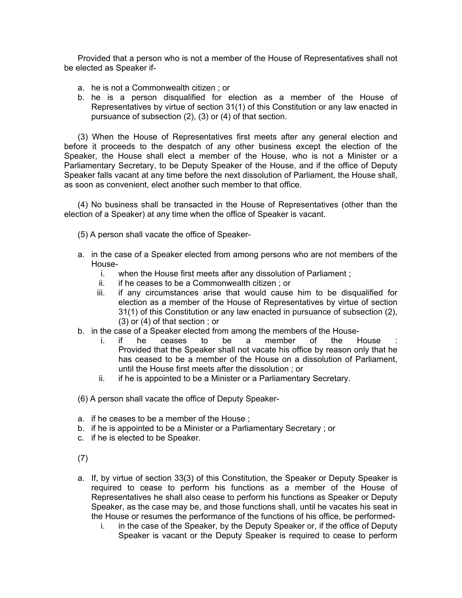Provided that a person who is not a member of the House of Representatives shall not be elected as Speaker if-

- a. he is not a Commonwealth citizen ; or
- b. he is a person disqualified for election as a member of the House of Representatives by virtue of section 31(1) of this Constitution or any law enacted in pursuance of subsection (2), (3) or (4) of that section.

(3) When the House of Representatives first meets after any general election and before it proceeds to the despatch of any other business except the election of the Speaker, the House shall elect a member of the House, who is not a Minister or a Parliamentary Secretary, to be Deputy Speaker of the House, and if the office of Deputy Speaker falls vacant at any time before the next dissolution of Parliament, the House shall, as soon as convenient, elect another such member to that office.

(4) No business shall be transacted in the House of Representatives (other than the election of a Speaker) at any time when the office of Speaker is vacant.

- (5) A person shall vacate the office of Speaker-
- a. in the case of a Speaker elected from among persons who are not members of the House
	- i. when the House first meets after any dissolution of Parliament ;
	- ii. if he ceases to be a Commonwealth citizen ; or
	- iii. if any circumstances arise that would cause him to be disqualified for election as a member of the House of Representatives by virtue of section 31(1) of this Constitution or any law enacted in pursuance of subsection (2), (3) or (4) of that section ; or
- b. in the case of a Speaker elected from among the members of the House
	- i. if he ceases to be a member of the House : Provided that the Speaker shall not vacate his office by reason only that he has ceased to be a member of the House on a dissolution of Parliament, until the House first meets after the dissolution ; or
	- ii. if he is appointed to be a Minister or a Parliamentary Secretary.

(6) A person shall vacate the office of Deputy Speaker-

- a. if he ceases to be a member of the House ;
- b. if he is appointed to be a Minister or a Parliamentary Secretary ; or
- c. if he is elected to be Speaker.

(7)

- a. If, by virtue of section 33(3) of this Constitution, the Speaker or Deputy Speaker is required to cease to perform his functions as a member of the House of Representatives he shall also cease to perform his functions as Speaker or Deputy Speaker, as the case may be, and those functions shall, until he vacates his seat in the House or resumes the performance of the functions of his office, be performed
	- i. in the case of the Speaker, by the Deputy Speaker or, if the office of Deputy Speaker is vacant or the Deputy Speaker is required to cease to perform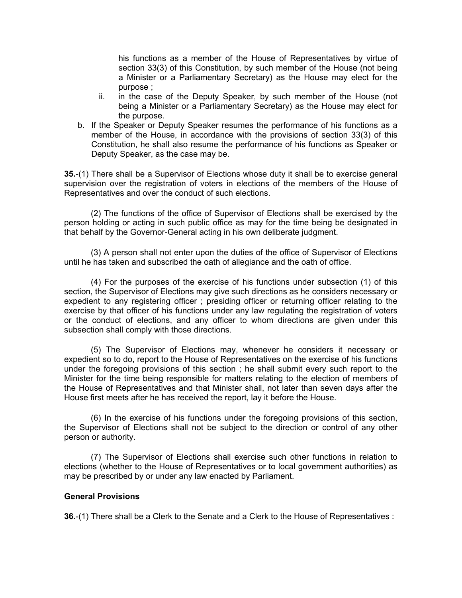his functions as a member of the House of Representatives by virtue of section 33(3) of this Constitution, by such member of the House (not being a Minister or a Parliamentary Secretary) as the House may elect for the purpose ;

- ii. in the case of the Deputy Speaker, by such member of the House (not being a Minister or a Parliamentary Secretary) as the House may elect for the purpose.
- b. If the Speaker or Deputy Speaker resumes the performance of his functions as a member of the House, in accordance with the provisions of section 33(3) of this Constitution, he shall also resume the performance of his functions as Speaker or Deputy Speaker, as the case may be.

**35.**-(1) There shall be a Supervisor of Elections whose duty it shall be to exercise general supervision over the registration of voters in elections of the members of the House of Representatives and over the conduct of such elections.

(2) The functions of the office of Supervisor of Elections shall be exercised by the person holding or acting in such public office as may for the time being be designated in that behalf by the Governor-General acting in his own deliberate judgment.

(3) A person shall not enter upon the duties of the office of Supervisor of Elections until he has taken and subscribed the oath of allegiance and the oath of office.

(4) For the purposes of the exercise of his functions under subsection (1) of this section, the Supervisor of Elections may give such directions as he considers necessary or expedient to any registering officer ; presiding officer or returning officer relating to the exercise by that officer of his functions under any law regulating the registration of voters or the conduct of elections, and any officer to whom directions are given under this subsection shall comply with those directions.

(5) The Supervisor of Elections may, whenever he considers it necessary or expedient so to do, report to the House of Representatives on the exercise of his functions under the foregoing provisions of this section ; he shall submit every such report to the Minister for the time being responsible for matters relating to the election of members of the House of Representatives and that Minister shall, not later than seven days after the House first meets after he has received the report, lay it before the House.

(6) In the exercise of his functions under the foregoing provisions of this section, the Supervisor of Elections shall not be subject to the direction or control of any other person or authority.

(7) The Supervisor of Elections shall exercise such other functions in relation to elections (whether to the House of Representatives or to local government authorities) as may be prescribed by or under any law enacted by Parliament.

#### **General Provisions**

**36.**-(1) There shall be a Clerk to the Senate and a Clerk to the House of Representatives :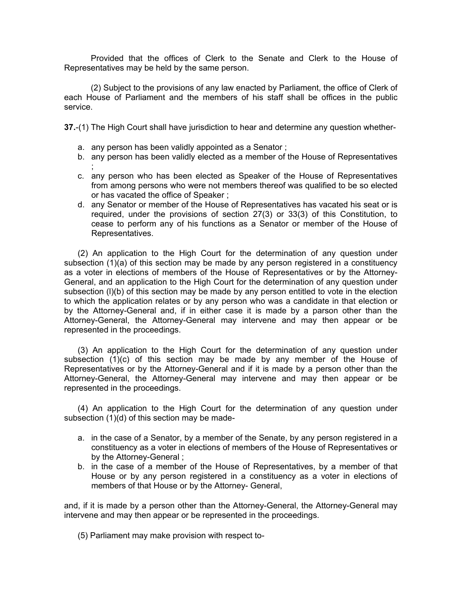Provided that the offices of Clerk to the Senate and Clerk to the House of Representatives may be held by the same person.

(2) Subject to the provisions of any law enacted by Parliament, the office of Clerk of each House of Parliament and the members of his staff shall be offices in the public service.

**37.**-(1) The High Court shall have jurisdiction to hear and determine any question whether-

- a. any person has been validly appointed as a Senator ;
- b. any person has been validly elected as a member of the House of Representatives ;
- c. any person who has been elected as Speaker of the House of Representatives from among persons who were not members thereof was qualified to be so elected or has vacated the office of Speaker ;
- d. any Senator or member of the House of Representatives has vacated his seat or is required, under the provisions of section 27(3) or 33(3) of this Constitution, to cease to perform any of his functions as a Senator or member of the House of Representatives.

(2) An application to the High Court for the determination of any question under subsection (1)(a) of this section may be made by any person registered in a constituency as a voter in elections of members of the House of Representatives or by the Attorney-General, and an application to the High Court for the determination of any question under subsection (l)(b) of this section may be made by any person entitled to vote in the election to which the application relates or by any person who was a candidate in that election or by the Attorney-General and, if in either case it is made by a parson other than the Attorney-General, the Attorney-General may intervene and may then appear or be represented in the proceedings.

(3) An application to the High Court for the determination of any question under subsection (1)(c) of this section may be made by any member of the House of Representatives or by the Attorney-General and if it is made by a person other than the Attorney-General, the Attorney-General may intervene and may then appear or be represented in the proceedings.

(4) An application to the High Court for the determination of any question under subsection (1)(d) of this section may be made-

- a. in the case of a Senator, by a member of the Senate, by any person registered in a constituency as a voter in elections of members of the House of Representatives or by the Attorney-General ;
- b. in the case of a member of the House of Representatives, by a member of that House or by any person registered in a constituency as a voter in elections of members of that House or by the Attorney- General,

and, if it is made by a person other than the Attorney-General, the Attorney-General may intervene and may then appear or be represented in the proceedings.

(5) Parliament may make provision with respect to-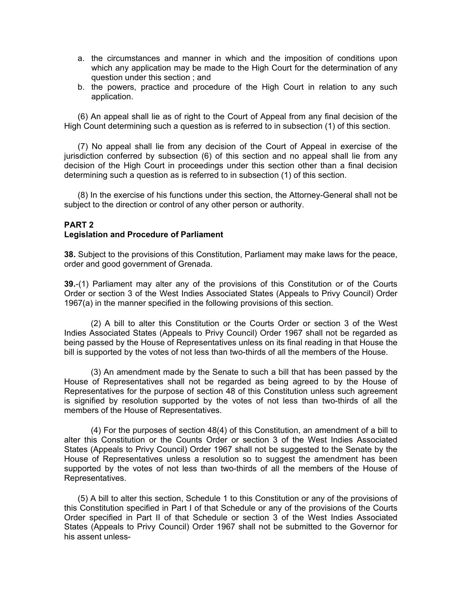- a. the circumstances and manner in which and the imposition of conditions upon which any application may be made to the High Court for the determination of any question under this section ; and
- b. the powers, practice and procedure of the High Court in relation to any such application.

(6) An appeal shall lie as of right to the Court of Appeal from any final decision of the High Count determining such a question as is referred to in subsection (1) of this section.

(7) No appeal shall lie from any decision of the Court of Appeal in exercise of the jurisdiction conferred by subsection (6) of this section and no appeal shall lie from any decision of the High Court in proceedings under this section other than a final decision determining such a question as is referred to in subsection (1) of this section.

(8) In the exercise of his functions under this section, the Attorney-General shall not be subject to the direction or control of any other person or authority.

### **PART 2**

### **Legislation and Procedure of Parliament**

**38.** Subject to the provisions of this Constitution, Parliament may make laws for the peace, order and good government of Grenada.

**39.**-(1) Parliament may alter any of the provisions of this Constitution or of the Courts Order or section 3 of the West Indies Associated States (Appeals to Privy Council) Order 1967(a) in the manner specified in the following provisions of this section.

(2) A bill to alter this Constitution or the Courts Order or section 3 of the West Indies Associated States (Appeals to Privy Council) Order 1967 shall not be regarded as being passed by the House of Representatives unless on its final reading in that House the bill is supported by the votes of not less than two-thirds of all the members of the House.

(3) An amendment made by the Senate to such a bill that has been passed by the House of Representatives shall not be regarded as being agreed to by the House of Representatives for the purpose of section 48 of this Constitution unless such agreement is signified by resolution supported by the votes of not less than two-thirds of all the members of the House of Representatives.

(4) For the purposes of section 48(4) of this Constitution, an amendment of a bill to alter this Constitution or the Counts Order or section 3 of the West Indies Associated States (Appeals to Privy Council) Order 1967 shall not be suggested to the Senate by the House of Representatives unless a resolution so to suggest the amendment has been supported by the votes of not less than two-thirds of all the members of the House of Representatives.

(5) A bill to alter this section, Schedule 1 to this Constitution or any of the provisions of this Constitution specified in Part I of that Schedule or any of the provisions of the Courts Order specified in Part II of that Schedule or section 3 of the West Indies Associated States (Appeals to Privy Council) Order 1967 shall not be submitted to the Governor for his assent unless-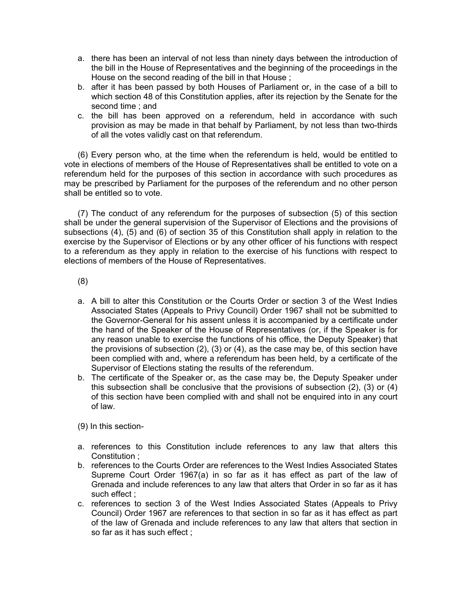- a. there has been an interval of not less than ninety days between the introduction of the bill in the House of Representatives and the beginning of the proceedings in the House on the second reading of the bill in that House ;
- b. after it has been passed by both Houses of Parliament or, in the case of a bill to which section 48 of this Constitution applies, after its rejection by the Senate for the second time ; and
- c. the bill has been approved on a referendum, held in accordance with such provision as may be made in that behalf by Parliament, by not less than two-thirds of all the votes validly cast on that referendum.

(6) Every person who, at the time when the referendum is held, would be entitled to vote in elections of members of the House of Representatives shall be entitled to vote on a referendum held for the purposes of this section in accordance with such procedures as may be prescribed by Parliament for the purposes of the referendum and no other person shall be entitled so to vote.

(7) The conduct of any referendum for the purposes of subsection (5) of this section shall be under the general supervision of the Supervisor of Elections and the provisions of subsections (4), (5) and (6) of section 35 of this Constitution shall apply in relation to the exercise by the Supervisor of Elections or by any other officer of his functions with respect to a referendum as they apply in relation to the exercise of his functions with respect to elections of members of the House of Representatives.

(8)

- a. A bill to alter this Constitution or the Courts Order or section 3 of the West Indies Associated States (Appeals to Privy Council) Order 1967 shall not be submitted to the Governor-General for his assent unless it is accompanied by a certificate under the hand of the Speaker of the House of Representatives (or, if the Speaker is for any reason unable to exercise the functions of his office, the Deputy Speaker) that the provisions of subsection (2), (3) or (4), as the case may be, of this section have been complied with and, where a referendum has been held, by a certificate of the Supervisor of Elections stating the results of the referendum.
- b. The certificate of the Speaker or, as the case may be, the Deputy Speaker under this subsection shall be conclusive that the provisions of subsection (2), (3) or (4) of this section have been complied with and shall not be enquired into in any court of law.

(9) In this section-

- a. references to this Constitution include references to any law that alters this Constitution ;
- b. references to the Courts Order are references to the West Indies Associated States Supreme Court Order 1967(a) in so far as it has effect as part of the law of Grenada and include references to any law that alters that Order in so far as it has such effect ;
- c. references to section 3 of the West Indies Associated States (Appeals to Privy Council) Order 1967 are references to that section in so far as it has effect as part of the law of Grenada and include references to any law that alters that section in so far as it has such effect ;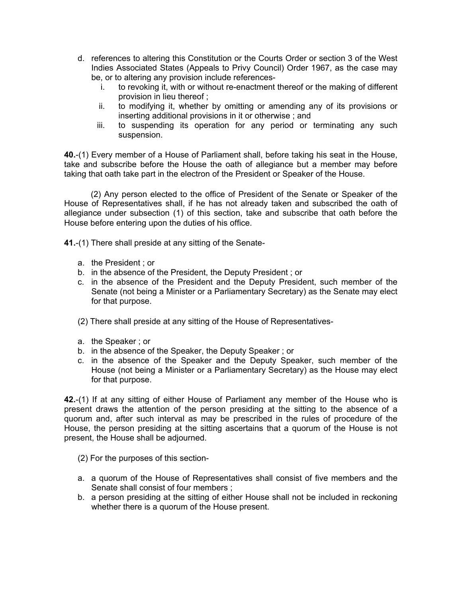- d. references to altering this Constitution or the Courts Order or section 3 of the West Indies Associated States (Appeals to Privy Council) Order 1967, as the case may be, or to altering any provision include references
	- i. to revoking it, with or without re-enactment thereof or the making of different provision in lieu thereof ;
	- ii. to modifying it, whether by omitting or amending any of its provisions or inserting additional provisions in it or otherwise ; and
	- iii. to suspending its operation for any period or terminating any such suspension.

**40.**-(1) Every member of a House of Parliament shall, before taking his seat in the House, take and subscribe before the House the oath of allegiance but a member may before taking that oath take part in the electron of the President or Speaker of the House.

(2) Any person elected to the office of President of the Senate or Speaker of the House of Representatives shall, if he has not already taken and subscribed the oath of allegiance under subsection (1) of this section, take and subscribe that oath before the House before entering upon the duties of his office.

**41.**-(1) There shall preside at any sitting of the Senate-

- a. the President ; or
- b. in the absence of the President, the Deputy President ; or
- c. in the absence of the President and the Deputy President, such member of the Senate (not being a Minister or a Parliamentary Secretary) as the Senate may elect for that purpose.
- (2) There shall preside at any sitting of the House of Representatives-
- a. the Speaker ; or
- b. in the absence of the Speaker, the Deputy Speaker ; or
- c. in the absence of the Speaker and the Deputy Speaker, such member of the House (not being a Minister or a Parliamentary Secretary) as the House may elect for that purpose.

**42.**-(1) If at any sitting of either House of Parliament any member of the House who is present draws the attention of the person presiding at the sitting to the absence of a quorum and, after such interval as may be prescribed in the rules of procedure of the House, the person presiding at the sitting ascertains that a quorum of the House is not present, the House shall be adjourned.

(2) For the purposes of this section-

- a. a quorum of the House of Representatives shall consist of five members and the Senate shall consist of four members ;
- b. a person presiding at the sitting of either House shall not be included in reckoning whether there is a quorum of the House present.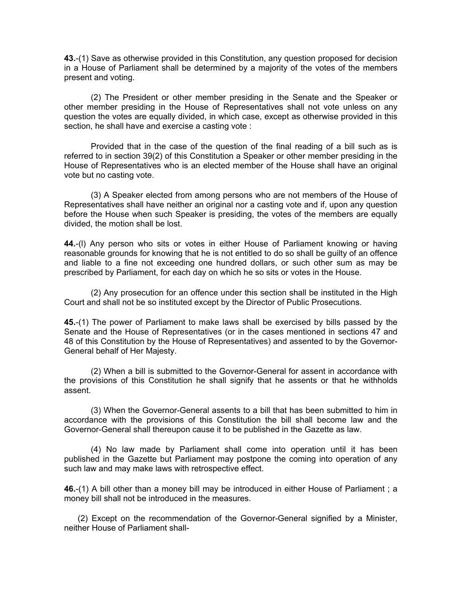**43.**-(1) Save as otherwise provided in this Constitution, any question proposed for decision in a House of Parliament shall be determined by a majority of the votes of the members present and voting.

(2) The President or other member presiding in the Senate and the Speaker or other member presiding in the House of Representatives shall not vote unless on any question the votes are equally divided, in which case, except as otherwise provided in this section, he shall have and exercise a casting vote :

Provided that in the case of the question of the final reading of a bill such as is referred to in section 39(2) of this Constitution a Speaker or other member presiding in the House of Representatives who is an elected member of the House shall have an original vote but no casting vote.

(3) A Speaker elected from among persons who are not members of the House of Representatives shall have neither an original nor a casting vote and if, upon any question before the House when such Speaker is presiding, the votes of the members are equally divided, the motion shall be lost.

**44.**-(l) Any person who sits or votes in either House of Parliament knowing or having reasonable grounds for knowing that he is not entitled to do so shall be guilty of an offence and liable to a fine not exceeding one hundred dollars, or such other sum as may be prescribed by Parliament, for each day on which he so sits or votes in the House.

(2) Any prosecution for an offence under this section shall be instituted in the High Court and shall not be so instituted except by the Director of Public Prosecutions.

**45.**-(1) The power of Parliament to make laws shall be exercised by bills passed by the Senate and the House of Representatives (or in the cases mentioned in sections 47 and 48 of this Constitution by the House of Representatives) and assented to by the Governor-General behalf of Her Majesty.

(2) When a bill is submitted to the Governor-General for assent in accordance with the provisions of this Constitution he shall signify that he assents or that he withholds assent.

(3) When the Governor-General assents to a bill that has been submitted to him in accordance with the provisions of this Constitution the bill shall become law and the Governor-General shall thereupon cause it to be published in the Gazette as law.

(4) No law made by Parliament shall come into operation until it has been published in the Gazette but Parliament may postpone the coming into operation of any such law and may make laws with retrospective effect.

**46.**-(1) A bill other than a money bill may be introduced in either House of Parliament ; a money bill shall not be introduced in the measures.

(2) Except on the recommendation of the Governor-General signified by a Minister, neither House of Parliament shall-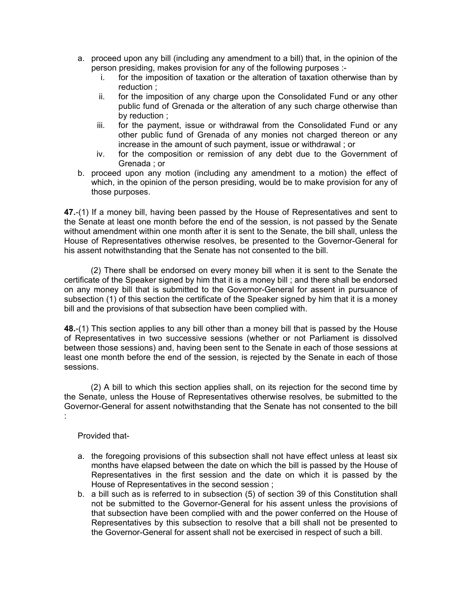- a. proceed upon any bill (including any amendment to a bill) that, in the opinion of the person presiding, makes provision for any of the following purposes :
	- i. for the imposition of taxation or the alteration of taxation otherwise than by reduction ;
	- ii. for the imposition of any charge upon the Consolidated Fund or any other public fund of Grenada or the alteration of any such charge otherwise than by reduction ;
	- iii. for the payment, issue or withdrawal from the Consolidated Fund or any other public fund of Grenada of any monies not charged thereon or any increase in the amount of such payment, issue or withdrawal ; or
	- iv. for the composition or remission of any debt due to the Government of Grenada ; or
- b. proceed upon any motion (including any amendment to a motion) the effect of which, in the opinion of the person presiding, would be to make provision for any of those purposes.

**47.**-(1) If a money bill, having been passed by the House of Representatives and sent to the Senate at least one month before the end of the session, is not passed by the Senate without amendment within one month after it is sent to the Senate, the bill shall, unless the House of Representatives otherwise resolves, be presented to the Governor-General for his assent notwithstanding that the Senate has not consented to the bill.

(2) There shall be endorsed on every money bill when it is sent to the Senate the certificate of the Speaker signed by him that it is a money bill ; and there shall be endorsed on any money bill that is submitted to the Governor-General for assent in pursuance of subsection (1) of this section the certificate of the Speaker signed by him that it is a money bill and the provisions of that subsection have been complied with.

**48.**-(1) This section applies to any bill other than a money bill that is passed by the House of Representatives in two successive sessions (whether or not Parliament is dissolved between those sessions) and, having been sent to the Senate in each of those sessions at least one month before the end of the session, is rejected by the Senate in each of those sessions.

(2) A bill to which this section applies shall, on its rejection for the second time by the Senate, unless the House of Representatives otherwise resolves, be submitted to the Governor-General for assent notwithstanding that the Senate has not consented to the bill :

Provided that-

- a. the foregoing provisions of this subsection shall not have effect unless at least six months have elapsed between the date on which the bill is passed by the House of Representatives in the first session and the date on which it is passed by the House of Representatives in the second session ;
- b. a bill such as is referred to in subsection (5) of section 39 of this Constitution shall not be submitted to the Governor-General for his assent unless the provisions of that subsection have been complied with and the power conferred on the House of Representatives by this subsection to resolve that a bill shall not be presented to the Governor-General for assent shall not be exercised in respect of such a bill.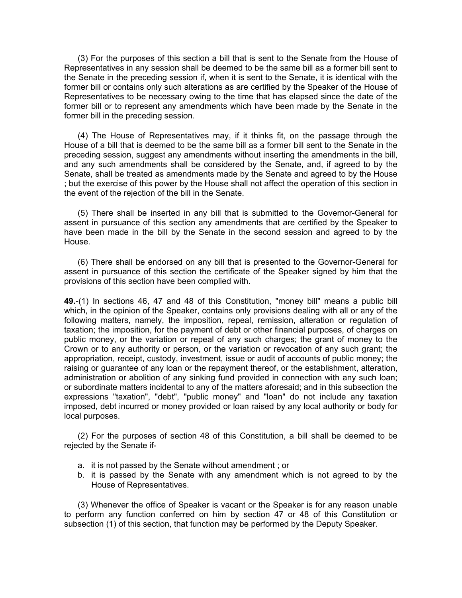(3) For the purposes of this section a bill that is sent to the Senate from the House of Representatives in any session shall be deemed to be the same bill as a former bill sent to the Senate in the preceding session if, when it is sent to the Senate, it is identical with the former bill or contains only such alterations as are certified by the Speaker of the House of Representatives to be necessary owing to the time that has elapsed since the date of the former bill or to represent any amendments which have been made by the Senate in the former bill in the preceding session.

(4) The House of Representatives may, if it thinks fit, on the passage through the House of a bill that is deemed to be the same bill as a former bill sent to the Senate in the preceding session, suggest any amendments without inserting the amendments in the bill, and any such amendments shall be considered by the Senate, and, if agreed to by the Senate, shall be treated as amendments made by the Senate and agreed to by the House ; but the exercise of this power by the House shall not affect the operation of this section in the event of the rejection of the bill in the Senate.

(5) There shall be inserted in any bill that is submitted to the Governor-General for assent in pursuance of this section any amendments that are certified by the Speaker to have been made in the bill by the Senate in the second session and agreed to by the House.

(6) There shall be endorsed on any bill that is presented to the Governor-General for assent in pursuance of this section the certificate of the Speaker signed by him that the provisions of this section have been complied with.

**49.**-(1) In sections 46, 47 and 48 of this Constitution, "money bill" means a public bill which, in the opinion of the Speaker, contains only provisions dealing with all or any of the following matters, namely, the imposition, repeal, remission, alteration or regulation of taxation; the imposition, for the payment of debt or other financial purposes, of charges on public money, or the variation or repeal of any such charges; the grant of money to the Crown or to any authority or person, or the variation or revocation of any such grant; the appropriation, receipt, custody, investment, issue or audit of accounts of public money; the raising or guarantee of any loan or the repayment thereof, or the establishment, alteration, administration or abolition of any sinking fund provided in connection with any such loan; or subordinate matters incidental to any of the matters aforesaid; and in this subsection the expressions "taxation", "debt", "public money" and "loan" do not include any taxation imposed, debt incurred or money provided or loan raised by any local authority or body for local purposes.

(2) For the purposes of section 48 of this Constitution, a bill shall be deemed to be rejected by the Senate if-

- a. it is not passed by the Senate without amendment ; or
- b. it is passed by the Senate with any amendment which is not agreed to by the House of Representatives.

(3) Whenever the office of Speaker is vacant or the Speaker is for any reason unable to perform any function conferred on him by section 47 or 48 of this Constitution or subsection (1) of this section, that function may be performed by the Deputy Speaker.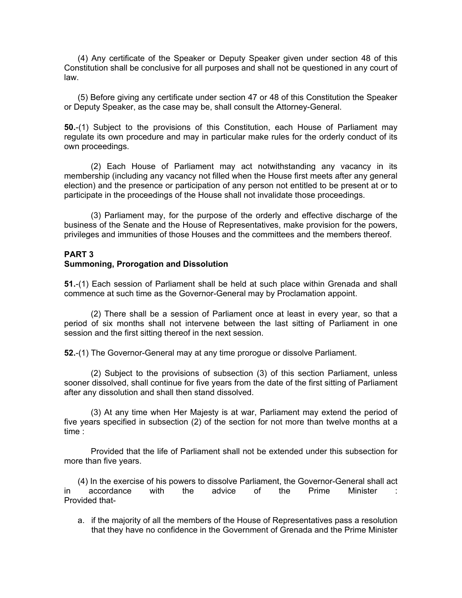(4) Any certificate of the Speaker or Deputy Speaker given under section 48 of this Constitution shall be conclusive for all purposes and shall not be questioned in any court of law.

(5) Before giving any certificate under section 47 or 48 of this Constitution the Speaker or Deputy Speaker, as the case may be, shall consult the Attorney-General.

**50.**-(1) Subject to the provisions of this Constitution, each House of Parliament may regulate its own procedure and may in particular make rules for the orderly conduct of its own proceedings.

(2) Each House of Parliament may act notwithstanding any vacancy in its membership (including any vacancy not filled when the House first meets after any general election) and the presence or participation of any person not entitled to be present at or to participate in the proceedings of the House shall not invalidate those proceedings.

(3) Parliament may, for the purpose of the orderly and effective discharge of the business of the Senate and the House of Representatives, make provision for the powers, privileges and immunities of those Houses and the committees and the members thereof.

### **PART 3**

### **Summoning, Prorogation and Dissolution**

**51.**-(1) Each session of Parliament shall be held at such place within Grenada and shall commence at such time as the Governor-General may by Proclamation appoint.

(2) There shall be a session of Parliament once at least in every year, so that a period of six months shall not intervene between the last sitting of Parliament in one session and the first sitting thereof in the next session.

**52.**-(1) The Governor-General may at any time prorogue or dissolve Parliament.

(2) Subject to the provisions of subsection (3) of this section Parliament, unless sooner dissolved, shall continue for five years from the date of the first sitting of Parliament after any dissolution and shall then stand dissolved.

(3) At any time when Her Majesty is at war, Parliament may extend the period of five years specified in subsection (2) of the section for not more than twelve months at a time :

Provided that the life of Parliament shall not be extended under this subsection for more than five years.

(4) In the exercise of his powers to dissolve Parliament, the Governor-General shall act in accordance with the advice of the Prime Minister : Provided that-

a. if the majority of all the members of the House of Representatives pass a resolution that they have no confidence in the Government of Grenada and the Prime Minister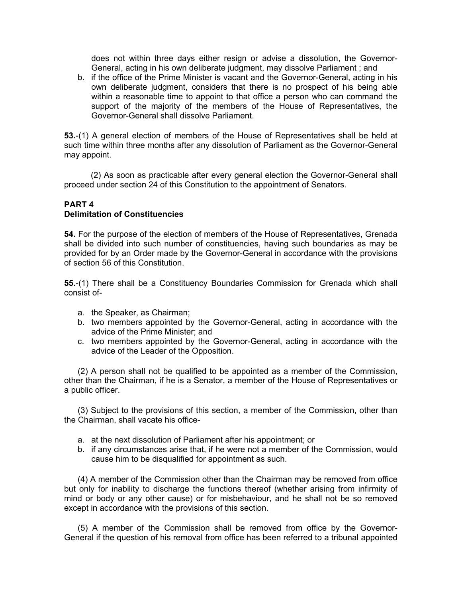does not within three days either resign or advise a dissolution, the Governor-General, acting in his own deliberate judgment, may dissolve Parliament ; and

b. if the office of the Prime Minister is vacant and the Governor-General, acting in his own deliberate judgment, considers that there is no prospect of his being able within a reasonable time to appoint to that office a person who can command the support of the majority of the members of the House of Representatives, the Governor-General shall dissolve Parliament.

**53.**-(1) A general election of members of the House of Representatives shall be held at such time within three months after any dissolution of Parliament as the Governor-General may appoint.

(2) As soon as practicable after every general election the Governor-General shall proceed under section 24 of this Constitution to the appointment of Senators.

### **PART 4 Delimitation of Constituencies**

**54.** For the purpose of the election of members of the House of Representatives, Grenada shall be divided into such number of constituencies, having such boundaries as may be provided for by an Order made by the Governor-General in accordance with the provisions of section 56 of this Constitution.

**55.**-(1) There shall be a Constituency Boundaries Commission for Grenada which shall consist of-

- a. the Speaker, as Chairman;
- b. two members appointed by the Governor-General, acting in accordance with the advice of the Prime Minister; and
- c. two members appointed by the Governor-General, acting in accordance with the advice of the Leader of the Opposition.

(2) A person shall not be qualified to be appointed as a member of the Commission, other than the Chairman, if he is a Senator, a member of the House of Representatives or a public officer.

(3) Subject to the provisions of this section, a member of the Commission, other than the Chairman, shall vacate his office-

- a. at the next dissolution of Parliament after his appointment; or
- b. if any circumstances arise that, if he were not a member of the Commission, would cause him to be disqualified for appointment as such.

(4) A member of the Commission other than the Chairman may be removed from office but only for inability to discharge the functions thereof (whether arising from infirmity of mind or body or any other cause) or for misbehaviour, and he shall not be so removed except in accordance with the provisions of this section.

(5) A member of the Commission shall be removed from office by the Governor-General if the question of his removal from office has been referred to a tribunal appointed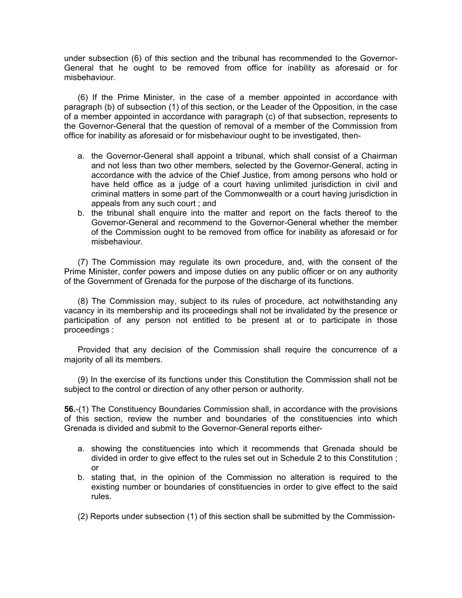under subsection (6) of this section and the tribunal has recommended to the Governor-General that he ought to be removed from office for inability as aforesaid or for misbehaviour.

(6) If the Prime Minister, in the case of a member appointed in accordance with paragraph (b) of subsection (1) of this section, or the Leader of the Opposition, in the case of a member appointed in accordance with paragraph (c) of that subsection, represents to the Governor-General that the question of removal of a member of the Commission from office for inability as aforesaid or for misbehaviour ought to be investigated, then-

- a. the Governor-General shall appoint a tribunal, which shall consist of a Chairman and not less than two other members, selected by the Governor-General, acting in accordance with the advice of the Chief Justice, from among persons who hold or have held office as a judge of a court having unlimited jurisdiction in civil and criminal matters in some part of the Commonwealth or a court having jurisdiction in appeals from any such court ; and
- b. the tribunal shall enquire into the matter and report on the facts thereof to the Governor-General and recommend to the Governor-General whether the member of the Commission ought to be removed from office for inability as aforesaid or for misbehaviour.

(7) The Commission may regulate its own procedure, and, with the consent of the Prime Minister, confer powers and impose duties on any public officer or on any authority of the Government of Grenada for the purpose of the discharge of its functions.

(8) The Commission may, subject to its rules of procedure, act notwithstanding any vacancy in its membership and its proceedings shall not be invalidated by the presence or participation of any person not entitled to be present at or to participate in those proceedings :

Provided that any decision of the Commission shall require the concurrence of a majority of all its members.

(9) In the exercise of its functions under this Constitution the Commission shall not be subject to the control or direction of any other person or authority.

**56.**-(1) The Constituency Boundaries Commission shall, in accordance with the provisions of this section, review the number and boundaries of the constituencies into which Grenada is divided and submit to the Governor-General reports either-

- a. showing the constituencies into which it recommends that Grenada should be divided in order to give effect to the rules set out in Schedule 2 to this Constitution ; or
- b. stating that, in the opinion of the Commission no alteration is required to the existing number or boundaries of constituencies in order to give effect to the said rules.
- (2) Reports under subsection (1) of this section shall be submitted by the Commission-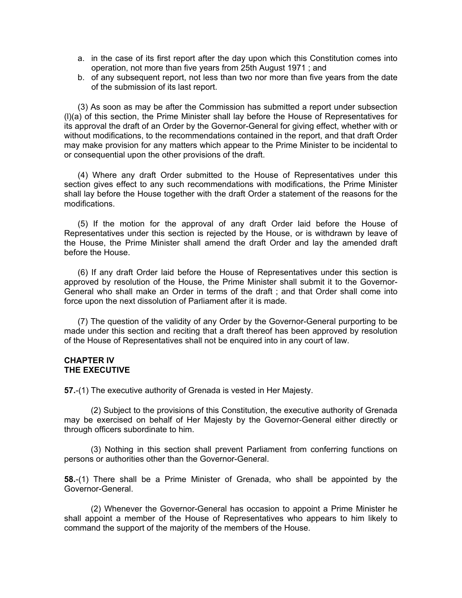- a. in the case of its first report after the day upon which this Constitution comes into operation, not more than five years from 25th August 1971 ; and
- b. of any subsequent report, not less than two nor more than five years from the date of the submission of its last report.

(3) As soon as may be after the Commission has submitted a report under subsection (l)(a) of this section, the Prime Minister shall lay before the House of Representatives for its approval the draft of an Order by the Governor-General for giving effect, whether with or without modifications, to the recommendations contained in the report, and that draft Order may make provision for any matters which appear to the Prime Minister to be incidental to or consequential upon the other provisions of the draft.

(4) Where any draft Order submitted to the House of Representatives under this section gives effect to any such recommendations with modifications, the Prime Minister shall lay before the House together with the draft Order a statement of the reasons for the modifications.

(5) If the motion for the approval of any draft Order laid before the House of Representatives under this section is rejected by the House, or is withdrawn by leave of the House, the Prime Minister shall amend the draft Order and lay the amended draft before the House.

(6) If any draft Order laid before the House of Representatives under this section is approved by resolution of the House, the Prime Minister shall submit it to the Governor-General who shall make an Order in terms of the draft ; and that Order shall come into force upon the next dissolution of Parliament after it is made.

(7) The question of the validity of any Order by the Governor-General purporting to be made under this section and reciting that a draft thereof has been approved by resolution of the House of Representatives shall not be enquired into in any court of law.

#### **CHAPTER IV THE EXECUTIVE**

**57.**-(1) The executive authority of Grenada is vested in Her Majesty.

(2) Subject to the provisions of this Constitution, the executive authority of Grenada may be exercised on behalf of Her Majesty by the Governor-General either directly or through officers subordinate to him.

(3) Nothing in this section shall prevent Parliament from conferring functions on persons or authorities other than the Governor-General.

**58.**-(1) There shall be a Prime Minister of Grenada, who shall be appointed by the Governor-General.

(2) Whenever the Governor-General has occasion to appoint a Prime Minister he shall appoint a member of the House of Representatives who appears to him likely to command the support of the majority of the members of the House.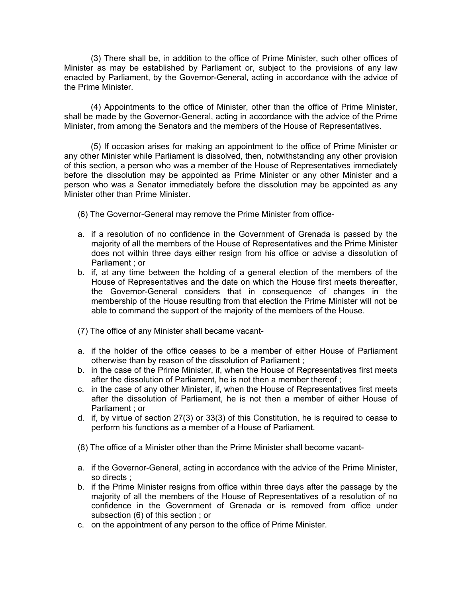(3) There shall be, in addition to the office of Prime Minister, such other offices of Minister as may be established by Parliament or, subject to the provisions of any law enacted by Parliament, by the Governor-General, acting in accordance with the advice of the Prime Minister.

(4) Appointments to the office of Minister, other than the office of Prime Minister, shall be made by the Governor-General, acting in accordance with the advice of the Prime Minister, from among the Senators and the members of the House of Representatives.

(5) If occasion arises for making an appointment to the office of Prime Minister or any other Minister while Parliament is dissolved, then, notwithstanding any other provision of this section, a person who was a member of the House of Representatives immediately before the dissolution may be appointed as Prime Minister or any other Minister and a person who was a Senator immediately before the dissolution may be appointed as any Minister other than Prime Minister.

- (6) The Governor-General may remove the Prime Minister from office-
- a. if a resolution of no confidence in the Government of Grenada is passed by the majority of all the members of the House of Representatives and the Prime Minister does not within three days either resign from his office or advise a dissolution of Parliament ; or
- b. if, at any time between the holding of a general election of the members of the House of Representatives and the date on which the House first meets thereafter, the Governor-General considers that in consequence of changes in the membership of the House resulting from that election the Prime Minister will not be able to command the support of the majority of the members of the House.
- (7) The office of any Minister shall became vacant-
- a. if the holder of the office ceases to be a member of either House of Parliament otherwise than by reason of the dissolution of Parliament ;
- b. in the case of the Prime Minister, if, when the House of Representatives first meets after the dissolution of Parliament, he is not then a member thereof ;
- c. in the case of any other Minister, if, when the House of Representatives first meets after the dissolution of Parliament, he is not then a member of either House of Parliament ; or
- d. if, by virtue of section 27(3) or 33(3) of this Constitution, he is required to cease to perform his functions as a member of a House of Parliament.
- (8) The office of a Minister other than the Prime Minister shall become vacant-
- a. if the Governor-General, acting in accordance with the advice of the Prime Minister, so directs ;
- b. if the Prime Minister resigns from office within three days after the passage by the majority of all the members of the House of Representatives of a resolution of no confidence in the Government of Grenada or is removed from office under subsection (6) of this section ; or
- c. on the appointment of any person to the office of Prime Minister.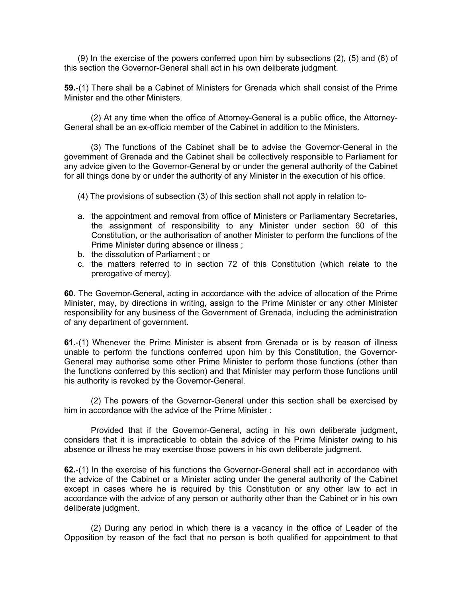(9) In the exercise of the powers conferred upon him by subsections (2), (5) and (6) of this section the Governor-General shall act in his own deliberate judgment.

**59.**-(1) There shall be a Cabinet of Ministers for Grenada which shall consist of the Prime Minister and the other Ministers.

(2) At any time when the office of Attorney-General is a public office, the Attorney-General shall be an ex-officio member of the Cabinet in addition to the Ministers.

(3) The functions of the Cabinet shall be to advise the Governor-General in the government of Grenada and the Cabinet shall be collectively responsible to Parliament for any advice given to the Governor-General by or under the general authority of the Cabinet for all things done by or under the authority of any Minister in the execution of his office.

(4) The provisions of subsection (3) of this section shall not apply in relation to-

- a. the appointment and removal from office of Ministers or Parliamentary Secretaries, the assignment of responsibility to any Minister under section 60 of this Constitution, or the authorisation of another Minister to perform the functions of the Prime Minister during absence or illness ;
- b. the dissolution of Parliament ; or
- c. the matters referred to in section 72 of this Constitution (which relate to the prerogative of mercy).

**60**. The Governor-General, acting in accordance with the advice of allocation of the Prime Minister, may, by directions in writing, assign to the Prime Minister or any other Minister responsibility for any business of the Government of Grenada, including the administration of any department of government.

**61.**-(1) Whenever the Prime Minister is absent from Grenada or is by reason of illness unable to perform the functions conferred upon him by this Constitution, the Governor-General may authorise some other Prime Minister to perform those functions (other than the functions conferred by this section) and that Minister may perform those functions until his authority is revoked by the Governor-General.

(2) The powers of the Governor-General under this section shall be exercised by him in accordance with the advice of the Prime Minister :

Provided that if the Governor-General, acting in his own deliberate judgment, considers that it is impracticable to obtain the advice of the Prime Minister owing to his absence or illness he may exercise those powers in his own deliberate judgment.

**62.**-(1) In the exercise of his functions the Governor-General shall act in accordance with the advice of the Cabinet or a Minister acting under the general authority of the Cabinet except in cases where he is required by this Constitution or any other law to act in accordance with the advice of any person or authority other than the Cabinet or in his own deliberate judgment.

(2) During any period in which there is a vacancy in the office of Leader of the Opposition by reason of the fact that no person is both qualified for appointment to that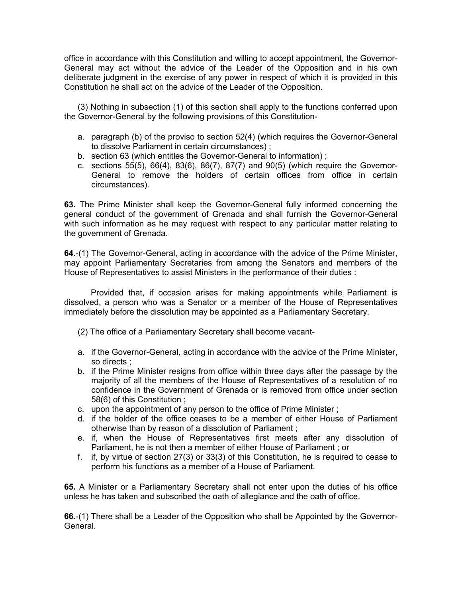office in accordance with this Constitution and willing to accept appointment, the Governor-General may act without the advice of the Leader of the Opposition and in his own deliberate judgment in the exercise of any power in respect of which it is provided in this Constitution he shall act on the advice of the Leader of the Opposition.

(3) Nothing in subsection (1) of this section shall apply to the functions conferred upon the Governor-General by the following provisions of this Constitution-

- a. paragraph (b) of the proviso to section 52(4) (which requires the Governor-General to dissolve Parliament in certain circumstances) ;
- b. section 63 (which entitles the Governor-General to information) ;
- c. sections 55(5), 66(4), 83(6), 86(7), 87(7) and 90(5) (which require the Governor-General to remove the holders of certain offices from office in certain circumstances).

**63.** The Prime Minister shall keep the Governor-General fully informed concerning the general conduct of the government of Grenada and shall furnish the Governor-General with such information as he may request with respect to any particular matter relating to the government of Grenada.

**64.**-(1) The Governor-General, acting in accordance with the advice of the Prime Minister, may appoint Parliamentary Secretaries from among the Senators and members of the House of Representatives to assist Ministers in the performance of their duties :

Provided that, if occasion arises for making appointments while Parliament is dissolved, a person who was a Senator or a member of the House of Representatives immediately before the dissolution may be appointed as a Parliamentary Secretary.

- (2) The office of a Parliamentary Secretary shall become vacant-
- a. if the Governor-General, acting in accordance with the advice of the Prime Minister, so directs ;
- b. if the Prime Minister resigns from office within three days after the passage by the majority of all the members of the House of Representatives of a resolution of no confidence in the Government of Grenada or is removed from office under section 58(6) of this Constitution ;
- c. upon the appointment of any person to the office of Prime Minister ;
- d. if the holder of the office ceases to be a member of either House of Parliament otherwise than by reason of a dissolution of Parliament ;
- e. if, when the House of Representatives first meets after any dissolution of Parliament, he is not then a member of either House of Parliament ; or
- f. if, by virtue of section 27(3) or 33(3) of this Constitution, he is required to cease to perform his functions as a member of a House of Parliament.

**65.** A Minister or a Parliamentary Secretary shall not enter upon the duties of his office unless he has taken and subscribed the oath of allegiance and the oath of office.

**66.**-(1) There shall be a Leader of the Opposition who shall be Appointed by the Governor-General.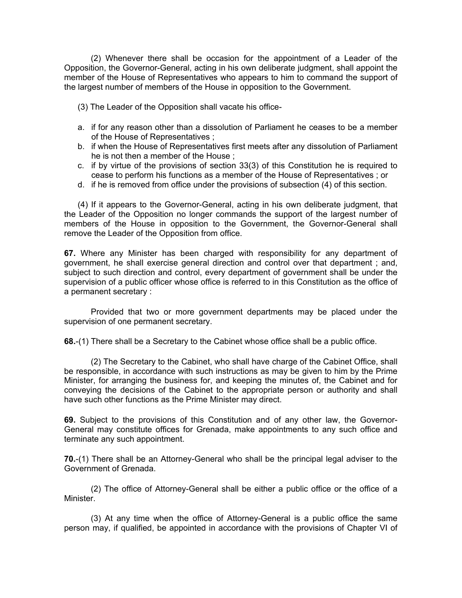(2) Whenever there shall be occasion for the appointment of a Leader of the Opposition, the Governor-General, acting in his own deliberate judgment, shall appoint the member of the House of Representatives who appears to him to command the support of the largest number of members of the House in opposition to the Government.

(3) The Leader of the Opposition shall vacate his office-

- a. if for any reason other than a dissolution of Parliament he ceases to be a member of the House of Representatives ;
- b. if when the House of Representatives first meets after any dissolution of Parliament he is not then a member of the House ;
- c. if by virtue of the provisions of section 33(3) of this Constitution he is required to cease to perform his functions as a member of the House of Representatives ; or
- d. if he is removed from office under the provisions of subsection (4) of this section.

(4) If it appears to the Governor-General, acting in his own deliberate judgment, that the Leader of the Opposition no longer commands the support of the largest number of members of the House in opposition to the Government, the Governor-General shall remove the Leader of the Opposition from office.

**67.** Where any Minister has been charged with responsibility for any department of government, he shall exercise general direction and control over that department ; and, subject to such direction and control, every department of government shall be under the supervision of a public officer whose office is referred to in this Constitution as the office of a permanent secretary :

Provided that two or more government departments may be placed under the supervision of one permanent secretary.

**68.**-(1) There shall be a Secretary to the Cabinet whose office shall be a public office.

(2) The Secretary to the Cabinet, who shall have charge of the Cabinet Office, shall be responsible, in accordance with such instructions as may be given to him by the Prime Minister, for arranging the business for, and keeping the minutes of, the Cabinet and for conveying the decisions of the Cabinet to the appropriate person or authority and shall have such other functions as the Prime Minister may direct.

**69.** Subject to the provisions of this Constitution and of any other law, the Governor-General may constitute offices for Grenada, make appointments to any such office and terminate any such appointment.

**70.**-(1) There shall be an Attorney-General who shall be the principal legal adviser to the Government of Grenada.

(2) The office of Attorney-General shall be either a public office or the office of a Minister.

(3) At any time when the office of Attorney-General is a public office the same person may, if qualified, be appointed in accordance with the provisions of Chapter VI of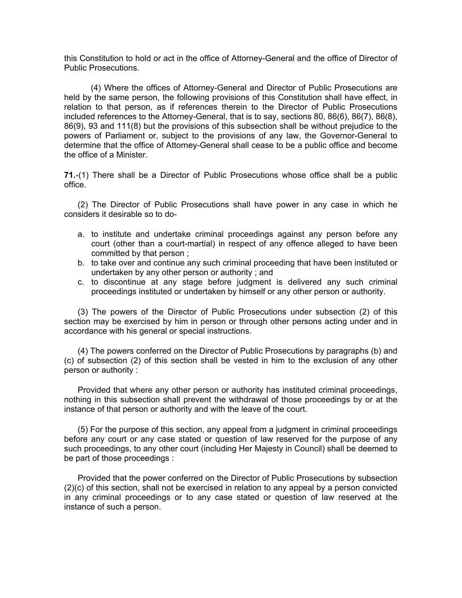this Constitution to hold or act in the office of Attorney-General and the office of Director of Public Prosecutions.

(4) Where the offices of Attorney-General and Director of Public Prosecutions are held by the same person, the following provisions of this Constitution shall have effect, in relation to that person, as if references therein to the Director of Public Prosecutions included references to the Attorney-General, that is to say, sections 80, 86(6), 86(7), 86(8), 86(9), 93 and 111(8) but the provisions of this subsection shall be without prejudice to the powers of Parliament or, subject to the provisions of any law, the Governor-General to determine that the office of Attorney-General shall cease to be a public office and become the office of a Minister.

**71.**-(1) There shall be a Director of Public Prosecutions whose office shall be a public office.

(2) The Director of Public Prosecutions shall have power in any case in which he considers it desirable so to do-

- a. to institute and undertake criminal proceedings against any person before any court (other than a court-martial) in respect of any offence alleged to have been committed by that person ;
- b. to take over and continue any such criminal proceeding that have been instituted or undertaken by any other person or authority ; and
- c. to discontinue at any stage before judgment is delivered any such criminal proceedings instituted or undertaken by himself or any other person or authority.

(3) The powers of the Director of Public Prosecutions under subsection (2) of this section may be exercised by him in person or through other persons acting under and in accordance with his general or special instructions.

(4) The powers conferred on the Director of Public Prosecutions by paragraphs (b) and (c) of subsection (2) of this section shall be vested in him to the exclusion of any other person or authority :

Provided that where any other person or authority has instituted criminal proceedings, nothing in this subsection shall prevent the withdrawal of those proceedings by or at the instance of that person or authority and with the leave of the court.

(5) For the purpose of this section, any appeal from a judgment in criminal proceedings before any court or any case stated or question of law reserved for the purpose of any such proceedings, to any other court (including Her Majesty in Council) shall be deemed to be part of those proceedings :

Provided that the power conferred on the Director of Public Prosecutions by subsection (2)(c) of this section, shall not be exercised in relation to any appeal by a person convicted in any criminal proceedings or to any case stated or question of law reserved at the instance of such a person.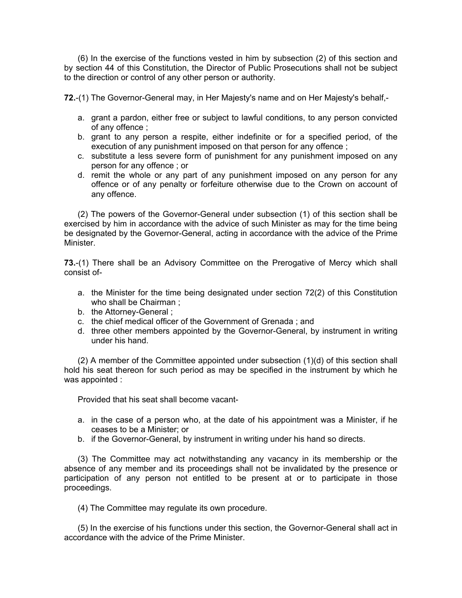(6) In the exercise of the functions vested in him by subsection (2) of this section and by section 44 of this Constitution, the Director of Public Prosecutions shall not be subject to the direction or control of any other person or authority.

**72.**-(1) The Governor-General may, in Her Majesty's name and on Her Majesty's behalf,-

- a. grant a pardon, either free or subject to lawful conditions, to any person convicted of any offence ;
- b. grant to any person a respite, either indefinite or for a specified period, of the execution of any punishment imposed on that person for any offence ;
- c. substitute a less severe form of punishment for any punishment imposed on any person for any offence ; or
- d. remit the whole or any part of any punishment imposed on any person for any offence or of any penalty or forfeiture otherwise due to the Crown on account of any offence.

(2) The powers of the Governor-General under subsection (1) of this section shall be exercised by him in accordance with the advice of such Minister as may for the time being be designated by the Governor-General, acting in accordance with the advice of the Prime Minister.

**73.**-(1) There shall be an Advisory Committee on the Prerogative of Mercy which shall consist of-

- a. the Minister for the time being designated under section 72(2) of this Constitution who shall be Chairman ;
- b. the Attorney-General ;
- c. the chief medical officer of the Government of Grenada ; and
- d. three other members appointed by the Governor-General, by instrument in writing under his hand.

(2) A member of the Committee appointed under subsection (1)(d) of this section shall hold his seat thereon for such period as may be specified in the instrument by which he was appointed :

Provided that his seat shall become vacant-

- a. in the case of a person who, at the date of his appointment was a Minister, if he ceases to be a Minister; or
- b. if the Governor-General, by instrument in writing under his hand so directs.

(3) The Committee may act notwithstanding any vacancy in its membership or the absence of any member and its proceedings shall not be invalidated by the presence or participation of any person not entitled to be present at or to participate in those proceedings.

(4) The Committee may regulate its own procedure.

(5) In the exercise of his functions under this section, the Governor-General shall act in accordance with the advice of the Prime Minister.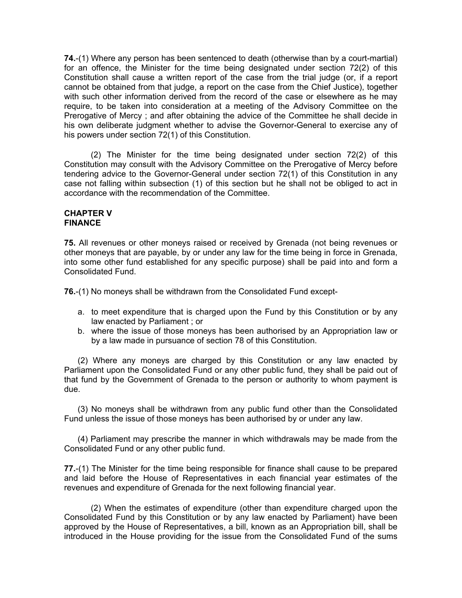**74.**-(1) Where any person has been sentenced to death (otherwise than by a court-martial) for an offence, the Minister for the time being designated under section 72(2) of this Constitution shall cause a written report of the case from the trial judge (or, if a report cannot be obtained from that judge, a report on the case from the Chief Justice), together with such other information derived from the record of the case or elsewhere as he may require, to be taken into consideration at a meeting of the Advisory Committee on the Prerogative of Mercy ; and after obtaining the advice of the Committee he shall decide in his own deliberate judgment whether to advise the Governor-General to exercise any of his powers under section 72(1) of this Constitution.

(2) The Minister for the time being designated under section 72(2) of this Constitution may consult with the Advisory Committee on the Prerogative of Mercy before tendering advice to the Governor-General under section 72(1) of this Constitution in any case not falling within subsection (1) of this section but he shall not be obliged to act in accordance with the recommendation of the Committee.

#### **CHAPTER V FINANCE**

**75.** All revenues or other moneys raised or received by Grenada (not being revenues or other moneys that are payable, by or under any law for the time being in force in Grenada, into some other fund established for any specific purpose) shall be paid into and form a Consolidated Fund.

**76.**-(1) No moneys shall be withdrawn from the Consolidated Fund except-

- a. to meet expenditure that is charged upon the Fund by this Constitution or by any law enacted by Parliament ; or
- b. where the issue of those moneys has been authorised by an Appropriation law or by a law made in pursuance of section 78 of this Constitution.

(2) Where any moneys are charged by this Constitution or any law enacted by Parliament upon the Consolidated Fund or any other public fund, they shall be paid out of that fund by the Government of Grenada to the person or authority to whom payment is due.

(3) No moneys shall be withdrawn from any public fund other than the Consolidated Fund unless the issue of those moneys has been authorised by or under any law.

(4) Parliament may prescribe the manner in which withdrawals may be made from the Consolidated Fund or any other public fund.

**77.**-(1) The Minister for the time being responsible for finance shall cause to be prepared and laid before the House of Representatives in each financial year estimates of the revenues and expenditure of Grenada for the next following financial year.

(2) When the estimates of expenditure (other than expenditure charged upon the Consolidated Fund by this Constitution or by any law enacted by Parliament) have been approved by the House of Representatives, a bill, known as an Appropriation bill, shall be introduced in the House providing for the issue from the Consolidated Fund of the sums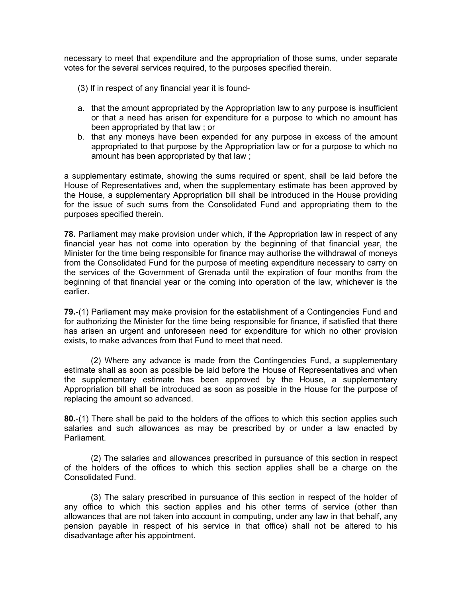necessary to meet that expenditure and the appropriation of those sums, under separate votes for the several services required, to the purposes specified therein.

- (3) If in respect of any financial year it is found-
- a. that the amount appropriated by the Appropriation law to any purpose is insufficient or that a need has arisen for expenditure for a purpose to which no amount has been appropriated by that law ; or
- b. that any moneys have been expended for any purpose in excess of the amount appropriated to that purpose by the Appropriation law or for a purpose to which no amount has been appropriated by that law ;

a supplementary estimate, showing the sums required or spent, shall be laid before the House of Representatives and, when the supplementary estimate has been approved by the House, a supplementary Appropriation bill shall be introduced in the House providing for the issue of such sums from the Consolidated Fund and appropriating them to the purposes specified therein.

**78.** Parliament may make provision under which, if the Appropriation law in respect of any financial year has not come into operation by the beginning of that financial year, the Minister for the time being responsible for finance may authorise the withdrawal of moneys from the Consolidated Fund for the purpose of meeting expenditure necessary to carry on the services of the Government of Grenada until the expiration of four months from the beginning of that financial year or the coming into operation of the law, whichever is the earlier.

**79.**-(1) Parliament may make provision for the establishment of a Contingencies Fund and for authorizing the Minister for the time being responsible for finance, if satisfied that there has arisen an urgent and unforeseen need for expenditure for which no other provision exists, to make advances from that Fund to meet that need.

(2) Where any advance is made from the Contingencies Fund, a supplementary estimate shall as soon as possible be laid before the House of Representatives and when the supplementary estimate has been approved by the House, a supplementary Appropriation bill shall be introduced as soon as possible in the House for the purpose of replacing the amount so advanced.

**80.**-(1) There shall be paid to the holders of the offices to which this section applies such salaries and such allowances as may be prescribed by or under a law enacted by Parliament.

(2) The salaries and allowances prescribed in pursuance of this section in respect of the holders of the offices to which this section applies shall be a charge on the Consolidated Fund.

(3) The salary prescribed in pursuance of this section in respect of the holder of any office to which this section applies and his other terms of service (other than allowances that are not taken into account in computing, under any law in that behalf, any pension payable in respect of his service in that office) shall not be altered to his disadvantage after his appointment.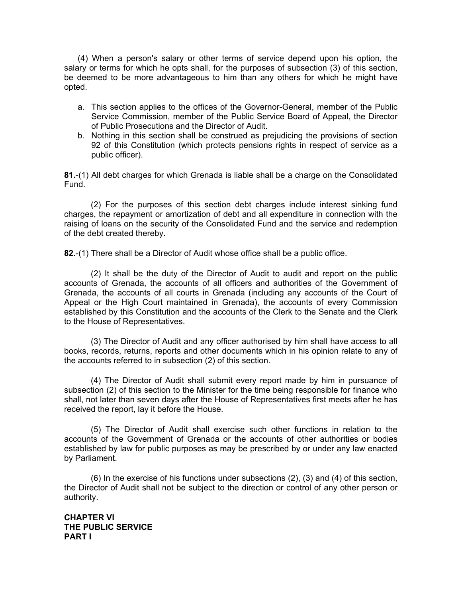(4) When a person's salary or other terms of service depend upon his option, the salary or terms for which he opts shall, for the purposes of subsection (3) of this section, be deemed to be more advantageous to him than any others for which he might have opted.

- a. This section applies to the offices of the Governor-General, member of the Public Service Commission, member of the Public Service Board of Appeal, the Director of Public Prosecutions and the Director of Audit.
- b. Nothing in this section shall be construed as prejudicing the provisions of section 92 of this Constitution (which protects pensions rights in respect of service as a public officer).

**81.**-(1) All debt charges for which Grenada is liable shall be a charge on the Consolidated Fund.

(2) For the purposes of this section debt charges include interest sinking fund charges, the repayment or amortization of debt and all expenditure in connection with the raising of loans on the security of the Consolidated Fund and the service and redemption of the debt created thereby.

**82.**-(1) There shall be a Director of Audit whose office shall be a public office.

(2) It shall be the duty of the Director of Audit to audit and report on the public accounts of Grenada, the accounts of all officers and authorities of the Government of Grenada, the accounts of all courts in Grenada (including any accounts of the Court of Appeal or the High Court maintained in Grenada), the accounts of every Commission established by this Constitution and the accounts of the Clerk to the Senate and the Clerk to the House of Representatives.

(3) The Director of Audit and any officer authorised by him shall have access to all books, records, returns, reports and other documents which in his opinion relate to any of the accounts referred to in subsection (2) of this section.

(4) The Director of Audit shall submit every report made by him in pursuance of subsection (2) of this section to the Minister for the time being responsible for finance who shall, not later than seven days after the House of Representatives first meets after he has received the report, lay it before the House.

(5) The Director of Audit shall exercise such other functions in relation to the accounts of the Government of Grenada or the accounts of other authorities or bodies established by law for public purposes as may be prescribed by or under any law enacted by Parliament.

(6) In the exercise of his functions under subsections (2), (3) and (4) of this section, the Director of Audit shall not be subject to the direction or control of any other person or authority.

### **CHAPTER VI THE PUBLIC SERVICE PART I**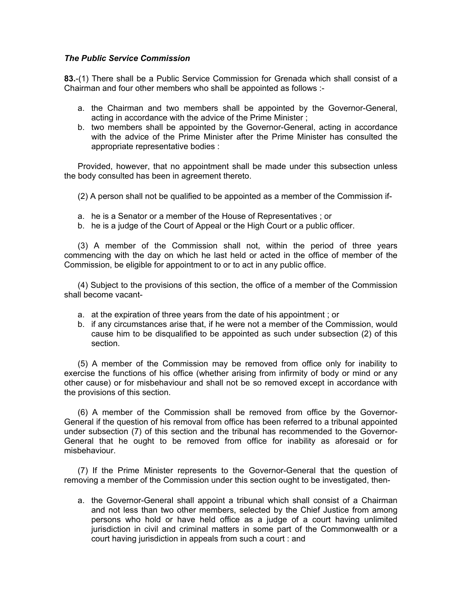### *The Public Service Commission*

**83.**-(1) There shall be a Public Service Commission for Grenada which shall consist of a Chairman and four other members who shall be appointed as follows :-

- a. the Chairman and two members shall be appointed by the Governor-General, acting in accordance with the advice of the Prime Minister ;
- b. two members shall be appointed by the Governor-General, acting in accordance with the advice of the Prime Minister after the Prime Minister has consulted the appropriate representative bodies :

Provided, however, that no appointment shall be made under this subsection unless the body consulted has been in agreement thereto.

(2) A person shall not be qualified to be appointed as a member of the Commission if-

- a. he is a Senator or a member of the House of Representatives ; or
- b. he is a judge of the Court of Appeal or the High Court or a public officer.

(3) A member of the Commission shall not, within the period of three years commencing with the day on which he last held or acted in the office of member of the Commission, be eligible for appointment to or to act in any public office.

(4) Subject to the provisions of this section, the office of a member of the Commission shall become vacant-

- a. at the expiration of three years from the date of his appointment ; or
- b. if any circumstances arise that, if he were not a member of the Commission, would cause him to be disqualified to be appointed as such under subsection (2) of this section.

(5) A member of the Commission may be removed from office only for inability to exercise the functions of his office (whether arising from infirmity of body or mind or any other cause) or for misbehaviour and shall not be so removed except in accordance with the provisions of this section.

(6) A member of the Commission shall be removed from office by the Governor-General if the question of his removal from office has been referred to a tribunal appointed under subsection (7) of this section and the tribunal has recommended to the Governor-General that he ought to be removed from office for inability as aforesaid or for misbehaviour.

(7) If the Prime Minister represents to the Governor-General that the question of removing a member of the Commission under this section ought to be investigated, then-

a. the Governor-General shall appoint a tribunal which shall consist of a Chairman and not less than two other members, selected by the Chief Justice from among persons who hold or have held office as a judge of a court having unlimited jurisdiction in civil and criminal matters in some part of the Commonwealth or a court having jurisdiction in appeals from such a court : and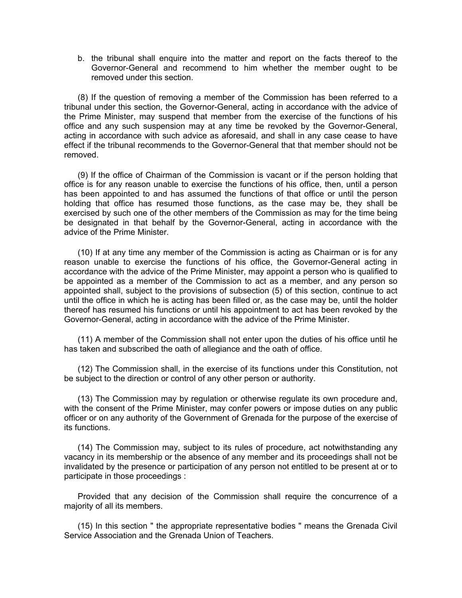b. the tribunal shall enquire into the matter and report on the facts thereof to the Governor-General and recommend to him whether the member ought to be removed under this section.

(8) If the question of removing a member of the Commission has been referred to a tribunal under this section, the Governor-General, acting in accordance with the advice of the Prime Minister, may suspend that member from the exercise of the functions of his office and any such suspension may at any time be revoked by the Governor-General, acting in accordance with such advice as aforesaid, and shall in any case cease to have effect if the tribunal recommends to the Governor-General that that member should not be removed.

(9) If the office of Chairman of the Commission is vacant or if the person holding that office is for any reason unable to exercise the functions of his office, then, until a person has been appointed to and has assumed the functions of that office or until the person holding that office has resumed those functions, as the case may be, they shall be exercised by such one of the other members of the Commission as may for the time being be designated in that behalf by the Governor-General, acting in accordance with the advice of the Prime Minister.

(10) If at any time any member of the Commission is acting as Chairman or is for any reason unable to exercise the functions of his office, the Governor-General acting in accordance with the advice of the Prime Minister, may appoint a person who is qualified to be appointed as a member of the Commission to act as a member, and any person so appointed shall, subject to the provisions of subsection (5) of this section, continue to act until the office in which he is acting has been filled or, as the case may be, until the holder thereof has resumed his functions or until his appointment to act has been revoked by the Governor-General, acting in accordance with the advice of the Prime Minister.

(11) A member of the Commission shall not enter upon the duties of his office until he has taken and subscribed the oath of allegiance and the oath of office.

(12) The Commission shall, in the exercise of its functions under this Constitution, not be subject to the direction or control of any other person or authority.

(13) The Commission may by regulation or otherwise regulate its own procedure and, with the consent of the Prime Minister, may confer powers or impose duties on any public officer or on any authority of the Government of Grenada for the purpose of the exercise of its functions.

(14) The Commission may, subject to its rules of procedure, act notwithstanding any vacancy in its membership or the absence of any member and its proceedings shall not be invalidated by the presence or participation of any person not entitled to be present at or to participate in those proceedings :

Provided that any decision of the Commission shall require the concurrence of a majority of all its members.

(15) In this section " the appropriate representative bodies " means the Grenada Civil Service Association and the Grenada Union of Teachers.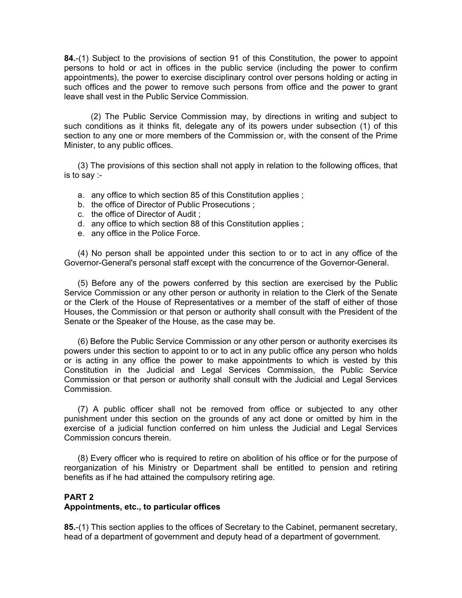**84.**-(1) Subject to the provisions of section 91 of this Constitution, the power to appoint persons to hold or act in offices in the public service (including the power to confirm appointments), the power to exercise disciplinary control over persons holding or acting in such offices and the power to remove such persons from office and the power to grant leave shall vest in the Public Service Commission.

(2) The Public Service Commission may, by directions in writing and subject to such conditions as it thinks fit, delegate any of its powers under subsection (1) of this section to any one or more members of the Commission or, with the consent of the Prime Minister, to any public offices.

(3) The provisions of this section shall not apply in relation to the following offices, that is to say :-

- a. any office to which section 85 of this Constitution applies ;
- b. the office of Director of Public Prosecutions ;
- c. the office of Director of Audit ;
- d. any office to which section 88 of this Constitution applies ;
- e. any office in the Police Force.

(4) No person shall be appointed under this section to or to act in any office of the Governor-General's personal staff except with the concurrence of the Governor-General.

(5) Before any of the powers conferred by this section are exercised by the Public Service Commission or any other person or authority in relation to the Clerk of the Senate or the Clerk of the House of Representatives or a member of the staff of either of those Houses, the Commission or that person or authority shall consult with the President of the Senate or the Speaker of the House, as the case may be.

(6) Before the Public Service Commission or any other person or authority exercises its powers under this section to appoint to or to act in any public office any person who holds or is acting in any office the power to make appointments to which is vested by this Constitution in the Judicial and Legal Services Commission, the Public Service Commission or that person or authority shall consult with the Judicial and Legal Services Commission.

(7) A public officer shall not be removed from office or subjected to any other punishment under this section on the grounds of any act done or omitted by him in the exercise of a judicial function conferred on him unless the Judicial and Legal Services Commission concurs therein.

(8) Every officer who is required to retire on abolition of his office or for the purpose of reorganization of his Ministry or Department shall be entitled to pension and retiring benefits as if he had attained the compulsory retiring age.

#### **PART 2**

#### **Appointments, etc., to particular offices**

**85.**-(1) This section applies to the offices of Secretary to the Cabinet, permanent secretary, head of a department of government and deputy head of a department of government.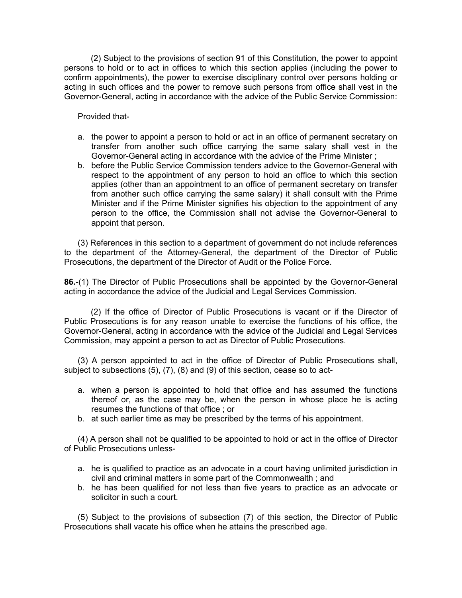(2) Subject to the provisions of section 91 of this Constitution, the power to appoint persons to hold or to act in offices to which this section applies (including the power to confirm appointments), the power to exercise disciplinary control over persons holding or acting in such offices and the power to remove such persons from office shall vest in the Governor-General, acting in accordance with the advice of the Public Service Commission:

Provided that-

- a. the power to appoint a person to hold or act in an office of permanent secretary on transfer from another such office carrying the same salary shall vest in the Governor-General acting in accordance with the advice of the Prime Minister ;
- b. before the Public Service Commission tenders advice to the Governor-General with respect to the appointment of any person to hold an office to which this section applies (other than an appointment to an office of permanent secretary on transfer from another such office carrying the same salary) it shall consult with the Prime Minister and if the Prime Minister signifies his objection to the appointment of any person to the office, the Commission shall not advise the Governor-General to appoint that person.

(3) References in this section to a department of government do not include references to the department of the Attorney-General, the department of the Director of Public Prosecutions, the department of the Director of Audit or the Police Force.

**86.**-(1) The Director of Public Prosecutions shall be appointed by the Governor-General acting in accordance the advice of the Judicial and Legal Services Commission.

(2) If the office of Director of Public Prosecutions is vacant or if the Director of Public Prosecutions is for any reason unable to exercise the functions of his office, the Governor-General, acting in accordance with the advice of the Judicial and Legal Services Commission, may appoint a person to act as Director of Public Prosecutions.

(3) A person appointed to act in the office of Director of Public Prosecutions shall, subject to subsections (5), (7), (8) and (9) of this section, cease so to act-

- a. when a person is appointed to hold that office and has assumed the functions thereof or, as the case may be, when the person in whose place he is acting resumes the functions of that office ; or
- b. at such earlier time as may be prescribed by the terms of his appointment.

(4) A person shall not be qualified to be appointed to hold or act in the office of Director of Public Prosecutions unless-

- a. he is qualified to practice as an advocate in a court having unlimited jurisdiction in civil and criminal matters in some part of the Commonwealth ; and
- b. he has been qualified for not less than five years to practice as an advocate or solicitor in such a court.

(5) Subject to the provisions of subsection (7) of this section, the Director of Public Prosecutions shall vacate his office when he attains the prescribed age.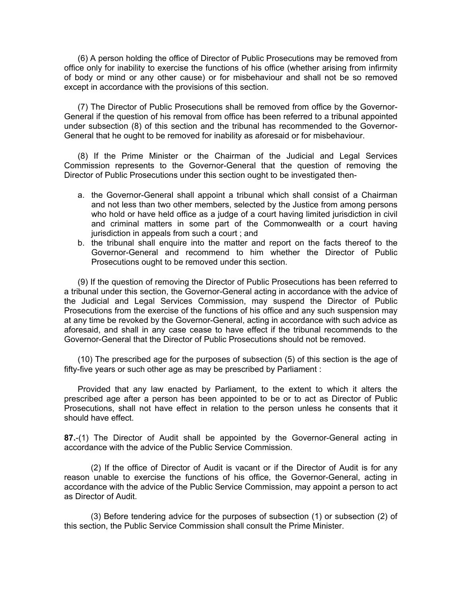(6) A person holding the office of Director of Public Prosecutions may be removed from office only for inability to exercise the functions of his office (whether arising from infirmity of body or mind or any other cause) or for misbehaviour and shall not be so removed except in accordance with the provisions of this section.

(7) The Director of Public Prosecutions shall be removed from office by the Governor-General if the question of his removal from office has been referred to a tribunal appointed under subsection (8) of this section and the tribunal has recommended to the Governor-General that he ought to be removed for inability as aforesaid or for misbehaviour.

(8) If the Prime Minister or the Chairman of the Judicial and Legal Services Commission represents to the Governor-General that the question of removing the Director of Public Prosecutions under this section ought to be investigated then-

- a. the Governor-General shall appoint a tribunal which shall consist of a Chairman and not less than two other members, selected by the Justice from among persons who hold or have held office as a judge of a court having limited jurisdiction in civil and criminal matters in some part of the Commonwealth or a court having jurisdiction in appeals from such a court ; and
- b. the tribunal shall enquire into the matter and report on the facts thereof to the Governor-General and recommend to him whether the Director of Public Prosecutions ought to be removed under this section.

(9) If the question of removing the Director of Public Prosecutions has been referred to a tribunal under this section, the Governor-General acting in accordance with the advice of the Judicial and Legal Services Commission, may suspend the Director of Public Prosecutions from the exercise of the functions of his office and any such suspension may at any time be revoked by the Governor-General, acting in accordance with such advice as aforesaid, and shall in any case cease to have effect if the tribunal recommends to the Governor-General that the Director of Public Prosecutions should not be removed.

(10) The prescribed age for the purposes of subsection (5) of this section is the age of fifty-five years or such other age as may be prescribed by Parliament :

Provided that any law enacted by Parliament, to the extent to which it alters the prescribed age after a person has been appointed to be or to act as Director of Public Prosecutions, shall not have effect in relation to the person unless he consents that it should have effect.

**87.**-(1) The Director of Audit shall be appointed by the Governor-General acting in accordance with the advice of the Public Service Commission.

(2) If the office of Director of Audit is vacant or if the Director of Audit is for any reason unable to exercise the functions of his office, the Governor-General, acting in accordance with the advice of the Public Service Commission, may appoint a person to act as Director of Audit.

(3) Before tendering advice for the purposes of subsection (1) or subsection (2) of this section, the Public Service Commission shall consult the Prime Minister.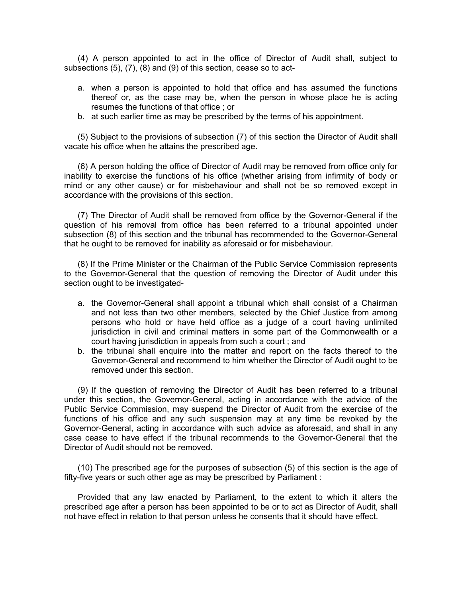(4) A person appointed to act in the office of Director of Audit shall, subject to subsections (5), (7), (8) and (9) of this section, cease so to act-

- a. when a person is appointed to hold that office and has assumed the functions thereof or, as the case may be, when the person in whose place he is acting resumes the functions of that office ; or
- b. at such earlier time as may be prescribed by the terms of his appointment.

(5) Subject to the provisions of subsection (7) of this section the Director of Audit shall vacate his office when he attains the prescribed age.

(6) A person holding the office of Director of Audit may be removed from office only for inability to exercise the functions of his office (whether arising from infirmity of body or mind or any other cause) or for misbehaviour and shall not be so removed except in accordance with the provisions of this section.

(7) The Director of Audit shall be removed from office by the Governor-General if the question of his removal from office has been referred to a tribunal appointed under subsection (8) of this section and the tribunal has recommended to the Governor-General that he ought to be removed for inability as aforesaid or for misbehaviour.

(8) If the Prime Minister or the Chairman of the Public Service Commission represents to the Governor-General that the question of removing the Director of Audit under this section ought to be investigated-

- a. the Governor-General shall appoint a tribunal which shall consist of a Chairman and not less than two other members, selected by the Chief Justice from among persons who hold or have held office as a judge of a court having unlimited jurisdiction in civil and criminal matters in some part of the Commonwealth or a court having jurisdiction in appeals from such a court ; and
- b. the tribunal shall enquire into the matter and report on the facts thereof to the Governor-General and recommend to him whether the Director of Audit ought to be removed under this section.

(9) If the question of removing the Director of Audit has been referred to a tribunal under this section, the Governor-General, acting in accordance with the advice of the Public Service Commission, may suspend the Director of Audit from the exercise of the functions of his office and any such suspension may at any time be revoked by the Governor-General, acting in accordance with such advice as aforesaid, and shall in any case cease to have effect if the tribunal recommends to the Governor-General that the Director of Audit should not be removed.

(10) The prescribed age for the purposes of subsection (5) of this section is the age of fifty-five years or such other age as may be prescribed by Parliament :

Provided that any law enacted by Parliament, to the extent to which it alters the prescribed age after a person has been appointed to be or to act as Director of Audit, shall not have effect in relation to that person unless he consents that it should have effect.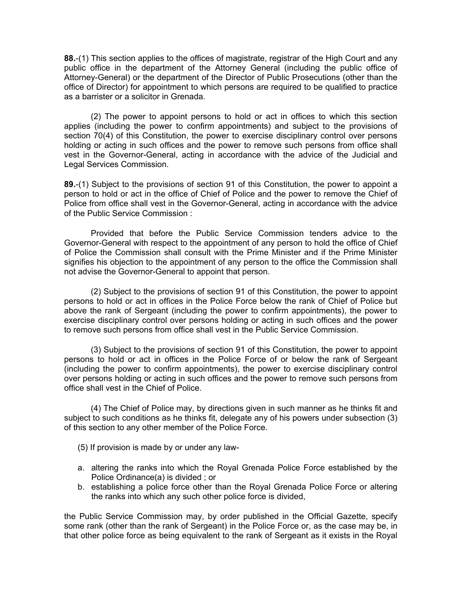**88.**-(1) This section applies to the offices of magistrate, registrar of the High Court and any public office in the department of the Attorney General (including the public office of Attorney-General) or the department of the Director of Public Prosecutions (other than the office of Director) for appointment to which persons are required to be qualified to practice as a barrister or a solicitor in Grenada.

(2) The power to appoint persons to hold or act in offices to which this section applies (including the power to confirm appointments) and subject to the provisions of section 70(4) of this Constitution, the power to exercise disciplinary control over persons holding or acting in such offices and the power to remove such persons from office shall vest in the Governor-General, acting in accordance with the advice of the Judicial and Legal Services Commission.

**89.**-(1) Subject to the provisions of section 91 of this Constitution, the power to appoint a person to hold or act in the office of Chief of Police and the power to remove the Chief of Police from office shall vest in the Governor-General, acting in accordance with the advice of the Public Service Commission :

Provided that before the Public Service Commission tenders advice to the Governor-General with respect to the appointment of any person to hold the office of Chief of Police the Commission shall consult with the Prime Minister and if the Prime Minister signifies his objection to the appointment of any person to the office the Commission shall not advise the Governor-General to appoint that person.

(2) Subject to the provisions of section 91 of this Constitution, the power to appoint persons to hold or act in offices in the Police Force below the rank of Chief of Police but above the rank of Sergeant (including the power to confirm appointments), the power to exercise disciplinary control over persons holding or acting in such offices and the power to remove such persons from office shall vest in the Public Service Commission.

(3) Subject to the provisions of section 91 of this Constitution, the power to appoint persons to hold or act in offices in the Police Force of or below the rank of Sergeant (including the power to confirm appointments), the power to exercise disciplinary control over persons holding or acting in such offices and the power to remove such persons from office shall vest in the Chief of Police.

(4) The Chief of Police may, by directions given in such manner as he thinks fit and subject to such conditions as he thinks fit, delegate any of his powers under subsection (3) of this section to any other member of the Police Force.

(5) If provision is made by or under any law-

- a. altering the ranks into which the Royal Grenada Police Force established by the Police Ordinance(a) is divided ; or
- b. establishing a police force other than the Royal Grenada Police Force or altering the ranks into which any such other police force is divided,

the Public Service Commission may, by order published in the Official Gazette, specify some rank (other than the rank of Sergeant) in the Police Force or, as the case may be, in that other police force as being equivalent to the rank of Sergeant as it exists in the Royal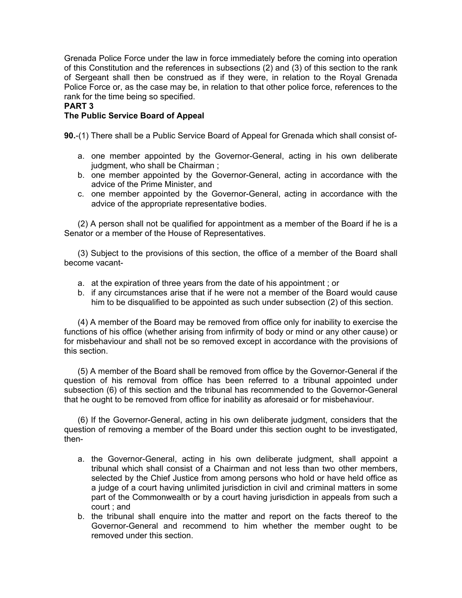Grenada Police Force under the law in force immediately before the coming into operation of this Constitution and the references in subsections (2) and (3) of this section to the rank of Sergeant shall then be construed as if they were, in relation to the Royal Grenada Police Force or, as the case may be, in relation to that other police force, references to the rank for the time being so specified.

#### **PART 3**

### **The Public Service Board of Appeal**

**90.**-(1) There shall be a Public Service Board of Appeal for Grenada which shall consist of-

- a. one member appointed by the Governor-General, acting in his own deliberate judgment, who shall be Chairman ;
- b. one member appointed by the Governor-General, acting in accordance with the advice of the Prime Minister, and
- c. one member appointed by the Governor-General, acting in accordance with the advice of the appropriate representative bodies.

(2) A person shall not be qualified for appointment as a member of the Board if he is a Senator or a member of the House of Representatives.

(3) Subject to the provisions of this section, the office of a member of the Board shall become vacant-

- a. at the expiration of three years from the date of his appointment ; or
- b. if any circumstances arise that if he were not a member of the Board would cause him to be disqualified to be appointed as such under subsection (2) of this section.

(4) A member of the Board may be removed from office only for inability to exercise the functions of his office (whether arising from infirmity of body or mind or any other cause) or for misbehaviour and shall not be so removed except in accordance with the provisions of this section.

(5) A member of the Board shall be removed from office by the Governor-General if the question of his removal from office has been referred to a tribunal appointed under subsection (6) of this section and the tribunal has recommended to the Governor-General that he ought to be removed from office for inability as aforesaid or for misbehaviour.

(6) If the Governor-General, acting in his own deliberate judgment, considers that the question of removing a member of the Board under this section ought to be investigated, then-

- a. the Governor-General, acting in his own deliberate judgment, shall appoint a tribunal which shall consist of a Chairman and not less than two other members, selected by the Chief Justice from among persons who hold or have held office as a judge of a court having unlimited jurisdiction in civil and criminal matters in some part of the Commonwealth or by a court having jurisdiction in appeals from such a court ; and
- b. the tribunal shall enquire into the matter and report on the facts thereof to the Governor-General and recommend to him whether the member ought to be removed under this section.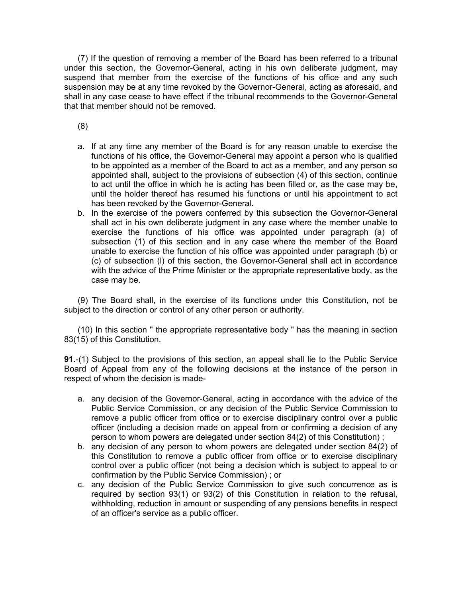(7) If the question of removing a member of the Board has been referred to a tribunal under this section, the Governor-General, acting in his own deliberate judgment, may suspend that member from the exercise of the functions of his office and any such suspension may be at any time revoked by the Governor-General, acting as aforesaid, and shall in any case cease to have effect if the tribunal recommends to the Governor-General that that member should not be removed.

(8)

- a. If at any time any member of the Board is for any reason unable to exercise the functions of his office, the Governor-General may appoint a person who is qualified to be appointed as a member of the Board to act as a member, and any person so appointed shall, subject to the provisions of subsection (4) of this section, continue to act until the office in which he is acting has been filled or, as the case may be, until the holder thereof has resumed his functions or until his appointment to act has been revoked by the Governor-General.
- b. In the exercise of the powers conferred by this subsection the Governor-General shall act in his own deliberate judgment in any case where the member unable to exercise the functions of his office was appointed under paragraph (a) of subsection (1) of this section and in any case where the member of the Board unable to exercise the function of his office was appointed under paragraph (b) or (c) of subsection (l) of this section, the Governor-General shall act in accordance with the advice of the Prime Minister or the appropriate representative body, as the case may be.

(9) The Board shall, in the exercise of its functions under this Constitution, not be subject to the direction or control of any other person or authority.

(10) In this section " the appropriate representative body " has the meaning in section 83(15) of this Constitution.

**91.**-(1) Subject to the provisions of this section, an appeal shall lie to the Public Service Board of Appeal from any of the following decisions at the instance of the person in respect of whom the decision is made-

- a. any decision of the Governor-General, acting in accordance with the advice of the Public Service Commission, or any decision of the Public Service Commission to remove a public officer from office or to exercise disciplinary control over a public officer (including a decision made on appeal from or confirming a decision of any person to whom powers are delegated under section 84(2) of this Constitution) ;
- b. any decision of any person to whom powers are delegated under section 84(2) of this Constitution to remove a public officer from office or to exercise disciplinary control over a public officer (not being a decision which is subject to appeal to or confirmation by the Public Service Commission) ; or
- c. any decision of the Public Service Commission to give such concurrence as is required by section 93(1) or 93(2) of this Constitution in relation to the refusal, withholding, reduction in amount or suspending of any pensions benefits in respect of an officer's service as a public officer.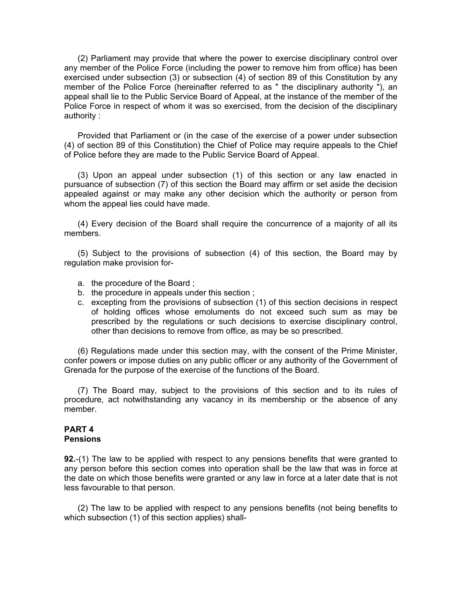(2) Parliament may provide that where the power to exercise disciplinary control over any member of the Police Force (including the power to remove him from office) has been exercised under subsection (3) or subsection (4) of section 89 of this Constitution by any member of the Police Force (hereinafter referred to as " the disciplinary authority "), an appeal shall lie to the Public Service Board of Appeal, at the instance of the member of the Police Force in respect of whom it was so exercised, from the decision of the disciplinary authority :

Provided that Parliament or (in the case of the exercise of a power under subsection (4) of section 89 of this Constitution) the Chief of Police may require appeals to the Chief of Police before they are made to the Public Service Board of Appeal.

(3) Upon an appeal under subsection (1) of this section or any law enacted in pursuance of subsection (7) of this section the Board may affirm or set aside the decision appealed against or may make any other decision which the authority or person from whom the appeal lies could have made.

(4) Every decision of the Board shall require the concurrence of a majority of all its members.

(5) Subject to the provisions of subsection (4) of this section, the Board may by regulation make provision for-

- a. the procedure of the Board ;
- b. the procedure in appeals under this section ;
- c. excepting from the provisions of subsection (1) of this section decisions in respect of holding offices whose emoluments do not exceed such sum as may be prescribed by the regulations or such decisions to exercise disciplinary control, other than decisions to remove from office, as may be so prescribed.

(6) Regulations made under this section may, with the consent of the Prime Minister, confer powers or impose duties on any public officer or any authority of the Government of Grenada for the purpose of the exercise of the functions of the Board.

(7) The Board may, subject to the provisions of this section and to its rules of procedure, act notwithstanding any vacancy in its membership or the absence of any member.

#### **PART 4 Pensions**

**92.**-(1) The law to be applied with respect to any pensions benefits that were granted to any person before this section comes into operation shall be the law that was in force at the date on which those benefits were granted or any law in force at a later date that is not less favourable to that person.

(2) The law to be applied with respect to any pensions benefits (not being benefits to which subsection (1) of this section applies) shall-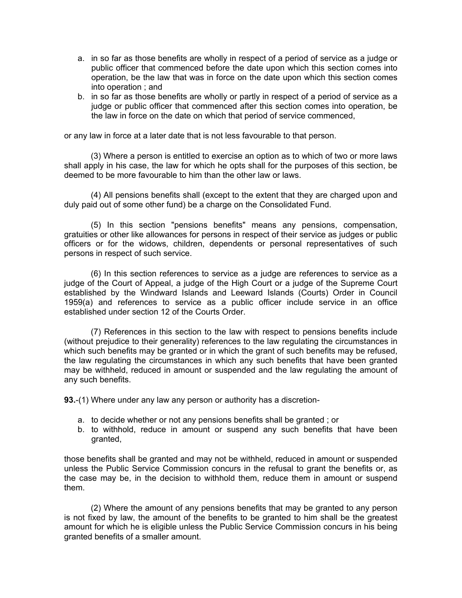- a. in so far as those benefits are wholly in respect of a period of service as a judge or public officer that commenced before the date upon which this section comes into operation, be the law that was in force on the date upon which this section comes into operation ; and
- b. in so far as those benefits are wholly or partly in respect of a period of service as a judge or public officer that commenced after this section comes into operation, be the law in force on the date on which that period of service commenced,

or any law in force at a later date that is not less favourable to that person.

(3) Where a person is entitled to exercise an option as to which of two or more laws shall apply in his case, the law for which he opts shall for the purposes of this section, be deemed to be more favourable to him than the other law or laws.

(4) All pensions benefits shall (except to the extent that they are charged upon and duly paid out of some other fund) be a charge on the Consolidated Fund.

(5) In this section "pensions benefits" means any pensions, compensation, gratuities or other like allowances for persons in respect of their service as judges or public officers or for the widows, children, dependents or personal representatives of such persons in respect of such service.

(6) In this section references to service as a judge are references to service as a judge of the Court of Appeal, a judge of the High Court or a judge of the Supreme Court established by the Windward Islands and Leeward Islands (Courts) Order in Council 1959(a) and references to service as a public officer include service in an office established under section 12 of the Courts Order.

(7) References in this section to the law with respect to pensions benefits include (without prejudice to their generality) references to the law regulating the circumstances in which such benefits may be granted or in which the grant of such benefits may be refused, the law regulating the circumstances in which any such benefits that have been granted may be withheld, reduced in amount or suspended and the law regulating the amount of any such benefits.

**93.**-(1) Where under any law any person or authority has a discretion-

- a. to decide whether or not any pensions benefits shall be granted ; or
- b. to withhold, reduce in amount or suspend any such benefits that have been granted,

those benefits shall be granted and may not be withheld, reduced in amount or suspended unless the Public Service Commission concurs in the refusal to grant the benefits or, as the case may be, in the decision to withhold them, reduce them in amount or suspend them.

(2) Where the amount of any pensions benefits that may be granted to any person is not fixed by law, the amount of the benefits to be granted to him shall be the greatest amount for which he is eligible unless the Public Service Commission concurs in his being granted benefits of a smaller amount.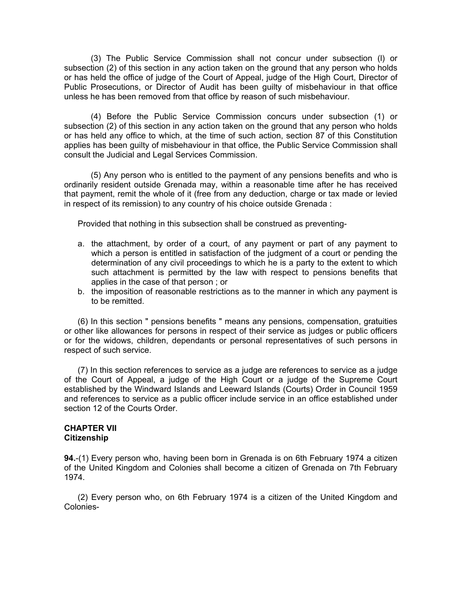(3) The Public Service Commission shall not concur under subsection (l) or subsection (2) of this section in any action taken on the ground that any person who holds or has held the office of judge of the Court of Appeal, judge of the High Court, Director of Public Prosecutions, or Director of Audit has been guilty of misbehaviour in that office unless he has been removed from that office by reason of such misbehaviour.

(4) Before the Public Service Commission concurs under subsection (1) or subsection (2) of this section in any action taken on the ground that any person who holds or has held any office to which, at the time of such action, section 87 of this Constitution applies has been guilty of misbehaviour in that office, the Public Service Commission shall consult the Judicial and Legal Services Commission.

(5) Any person who is entitled to the payment of any pensions benefits and who is ordinarily resident outside Grenada may, within a reasonable time after he has received that payment, remit the whole of it (free from any deduction, charge or tax made or levied in respect of its remission) to any country of his choice outside Grenada :

Provided that nothing in this subsection shall be construed as preventing-

- a. the attachment, by order of a court, of any payment or part of any payment to which a person is entitled in satisfaction of the judgment of a court or pending the determination of any civil proceedings to which he is a party to the extent to which such attachment is permitted by the law with respect to pensions benefits that applies in the case of that person ; or
- b. the imposition of reasonable restrictions as to the manner in which any payment is to be remitted.

(6) In this section " pensions benefits " means any pensions, compensation, gratuities or other like allowances for persons in respect of their service as judges or public officers or for the widows, children, dependants or personal representatives of such persons in respect of such service.

(7) In this section references to service as a judge are references to service as a judge of the Court of Appeal, a judge of the High Court or a judge of the Supreme Court established by the Windward Islands and Leeward Islands (Courts) Order in Council 1959 and references to service as a public officer include service in an office established under section 12 of the Courts Order.

#### **CHAPTER VII Citizenship**

**94.**-(1) Every person who, having been born in Grenada is on 6th February 1974 a citizen of the United Kingdom and Colonies shall become a citizen of Grenada on 7th February 1974.

(2) Every person who, on 6th February 1974 is a citizen of the United Kingdom and Colonies-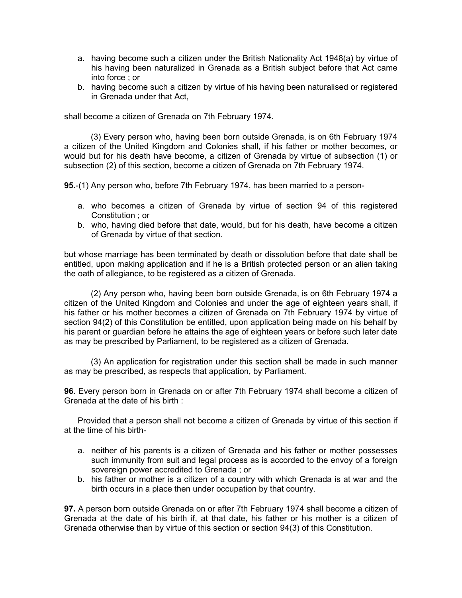- a. having become such a citizen under the British Nationality Act 1948(a) by virtue of his having been naturalized in Grenada as a British subject before that Act came into force ; or
- b. having become such a citizen by virtue of his having been naturalised or registered in Grenada under that Act,

shall become a citizen of Grenada on 7th February 1974.

(3) Every person who, having been born outside Grenada, is on 6th February 1974 a citizen of the United Kingdom and Colonies shall, if his father or mother becomes, or would but for his death have become, a citizen of Grenada by virtue of subsection (1) or subsection (2) of this section, become a citizen of Grenada on 7th February 1974.

**95.**-(1) Any person who, before 7th February 1974, has been married to a person-

- a. who becomes a citizen of Grenada by virtue of section 94 of this registered Constitution ; or
- b. who, having died before that date, would, but for his death, have become a citizen of Grenada by virtue of that section.

but whose marriage has been terminated by death or dissolution before that date shall be entitled, upon making application and if he is a British protected person or an alien taking the oath of allegiance, to be registered as a citizen of Grenada.

(2) Any person who, having been born outside Grenada, is on 6th February 1974 a citizen of the United Kingdom and Colonies and under the age of eighteen years shall, if his father or his mother becomes a citizen of Grenada on 7th February 1974 by virtue of section 94(2) of this Constitution be entitled, upon application being made on his behalf by his parent or guardian before he attains the age of eighteen years or before such later date as may be prescribed by Parliament, to be registered as a citizen of Grenada.

(3) An application for registration under this section shall be made in such manner as may be prescribed, as respects that application, by Parliament.

**96.** Every person born in Grenada on or after 7th February 1974 shall become a citizen of Grenada at the date of his birth :

Provided that a person shall not become a citizen of Grenada by virtue of this section if at the time of his birth-

- a. neither of his parents is a citizen of Grenada and his father or mother possesses such immunity from suit and legal process as is accorded to the envoy of a foreign sovereign power accredited to Grenada ; or
- b. his father or mother is a citizen of a country with which Grenada is at war and the birth occurs in a place then under occupation by that country.

**97.** A person born outside Grenada on or after 7th February 1974 shall become a citizen of Grenada at the date of his birth if, at that date, his father or his mother is a citizen of Grenada otherwise than by virtue of this section or section 94(3) of this Constitution.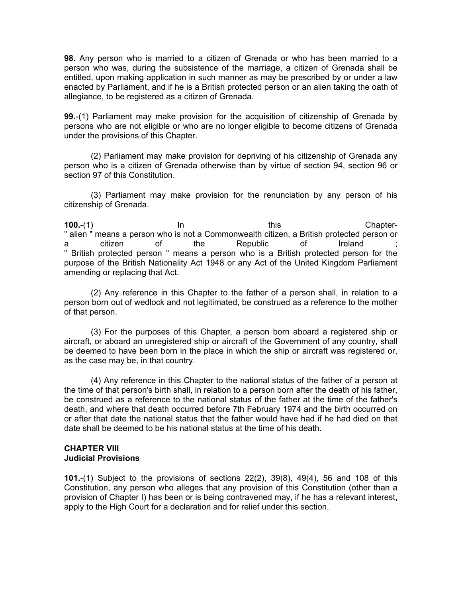**98.** Any person who is married to a citizen of Grenada or who has been married to a person who was, during the subsistence of the marriage, a citizen of Grenada shall be entitled, upon making application in such manner as may be prescribed by or under a law enacted by Parliament, and if he is a British protected person or an alien taking the oath of allegiance, to be registered as a citizen of Grenada.

**99.**-(1) Parliament may make provision for the acquisition of citizenship of Grenada by persons who are not eligible or who are no longer eligible to become citizens of Grenada under the provisions of this Chapter.

(2) Parliament may make provision for depriving of his citizenship of Grenada any person who is a citizen of Grenada otherwise than by virtue of section 94, section 96 or section 97 of this Constitution.

(3) Parliament may make provision for the renunciation by any person of his citizenship of Grenada.

**100.**-(1) In In this Chapter-" alien " means a person who is not a Commonwealth citizen, a British protected person or a citizen of the Republic of Ireland ; " British protected person " means a person who is a British protected person for the purpose of the British Nationality Act 1948 or any Act of the United Kingdom Parliament amending or replacing that Act.

(2) Any reference in this Chapter to the father of a person shall, in relation to a person born out of wedlock and not legitimated, be construed as a reference to the mother of that person.

(3) For the purposes of this Chapter, a person born aboard a registered ship or aircraft, or aboard an unregistered ship or aircraft of the Government of any country, shall be deemed to have been born in the place in which the ship or aircraft was registered or, as the case may be, in that country.

(4) Any reference in this Chapter to the national status of the father of a person at the time of that person's birth shall, in relation to a person born after the death of his father, be construed as a reference to the national status of the father at the time of the father's death, and where that death occurred before 7th February 1974 and the birth occurred on or after that date the national status that the father would have had if he had died on that date shall be deemed to be his national status at the time of his death.

#### **CHAPTER VIII Judicial Provisions**

**101.**-(1) Subject to the provisions of sections 22(2), 39(8), 49(4), 56 and 108 of this Constitution, any person who alleges that any provision of this Constitution (other than a provision of Chapter I) has been or is being contravened may, if he has a relevant interest, apply to the High Court for a declaration and for relief under this section.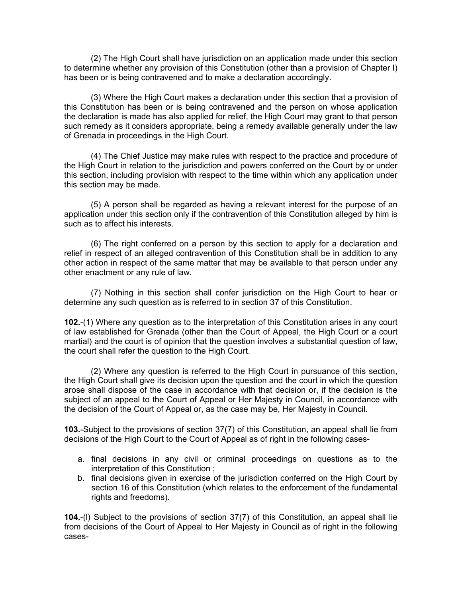(2) The High Court shall have jurisdiction on an application made under this section to determine whether any provision of this Constitution (other than a provision of Chapter I) has been or is being contravened and to make a declaration accordingly.

(3) Where the High Court makes a declaration under this section that a provision of this Constitution has been or is being contravened and the person on whose application the declaration is made has also applied for relief, the High Court may grant to that person such remedy as it considers appropriate, being a remedy available generally under the law of Grenada in proceedings in the High Court.

(4) The Chief Justice may make rules with respect to the practice and procedure of the High Court in relation to the jurisdiction and powers conferred on the Court by or under this section, including provision with respect to the time within which any application under this section may be made.

(5) A person shall be regarded as having a relevant interest for the purpose of an application under this section only if the contravention of this Constitution alleged by him is such as to affect his interests.

(6) The right conferred on a person by this section to apply for a declaration and relief in respect of an alleged contravention of this Constitution shall be in addition to any other action in respect of the same matter that may be available to that person under any other enactment or any rule of law.

(7) Nothing in this section shall confer jurisdiction on the High Court to hear or determine any such question as is referred to in section 37 of this Constitution.

**102.**-(1) Where any question as to the interpretation of this Constitution arises in any court of law established for Grenada (other than the Court of Appeal, the High Court or a court martial) and the court is of opinion that the question involves a substantial question of law, the court shall refer the question to the High Court.

(2) Where any question is referred to the High Court in pursuance of this section, the High Court shall give its decision upon the question and the court in which the question arose shall dispose of the case in accordance with that decision or, if the decision is the subject of an appeal to the Court of Appeal or Her Majesty in Council, in accordance with the decision of the Court of Appeal or, as the case may be, Her Majesty in Council.

**103.**-Subject to the provisions of section 37(7) of this Constitution, an appeal shall lie from decisions of the High Court to the Court of Appeal as of right in the following cases-

- a. final decisions in any civil or criminal proceedings on questions as to the interpretation of this Constitution ;
- b. final decisions given in exercise of the jurisdiction conferred on the High Court by section 16 of this Constitution (which relates to the enforcement of the fundamental rights and freedoms).

**104.**-(l) Subject to the provisions of section 37(7) of this Constitution, an appeal shall lie from decisions of the Court of Appeal to Her Majesty in Council as of right in the following cases-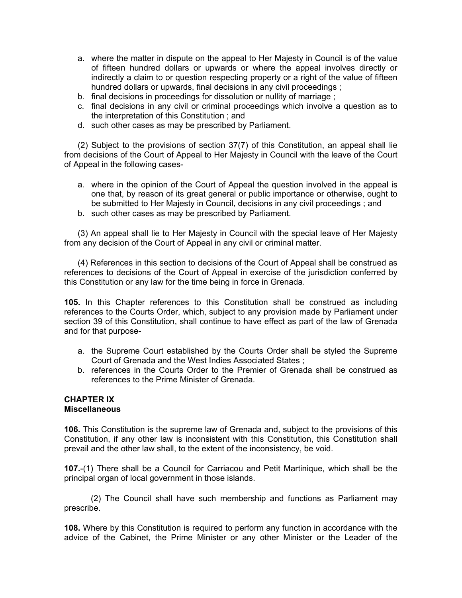- a. where the matter in dispute on the appeal to Her Majesty in Council is of the value of fifteen hundred dollars or upwards or where the appeal involves directly or indirectly a claim to or question respecting property or a right of the value of fifteen hundred dollars or upwards, final decisions in any civil proceedings ;
- b. final decisions in proceedings for dissolution or nullity of marriage ;
- c. final decisions in any civil or criminal proceedings which involve a question as to the interpretation of this Constitution ; and
- d. such other cases as may be prescribed by Parliament.

(2) Subject to the provisions of section 37(7) of this Constitution, an appeal shall lie from decisions of the Court of Appeal to Her Majesty in Council with the leave of the Court of Appeal in the following cases-

- a. where in the opinion of the Court of Appeal the question involved in the appeal is one that, by reason of its great general or public importance or otherwise, ought to be submitted to Her Majesty in Council, decisions in any civil proceedings ; and
- b. such other cases as may be prescribed by Parliament.

(3) An appeal shall lie to Her Majesty in Council with the special leave of Her Majesty from any decision of the Court of Appeal in any civil or criminal matter.

(4) References in this section to decisions of the Court of Appeal shall be construed as references to decisions of the Court of Appeal in exercise of the jurisdiction conferred by this Constitution or any law for the time being in force in Grenada.

**105.** In this Chapter references to this Constitution shall be construed as including references to the Courts Order, which, subject to any provision made by Parliament under section 39 of this Constitution, shall continue to have effect as part of the law of Grenada and for that purpose-

- a. the Supreme Court established by the Courts Order shall be styled the Supreme Court of Grenada and the West Indies Associated States ;
- b. references in the Courts Order to the Premier of Grenada shall be construed as references to the Prime Minister of Grenada.

#### **CHAPTER IX Miscellaneous**

**106.** This Constitution is the supreme law of Grenada and, subject to the provisions of this Constitution, if any other law is inconsistent with this Constitution, this Constitution shall prevail and the other law shall, to the extent of the inconsistency, be void.

**107.**-(1) There shall be a Council for Carriacou and Petit Martinique, which shall be the principal organ of local government in those islands.

(2) The Council shall have such membership and functions as Parliament may prescribe.

**108.** Where by this Constitution is required to perform any function in accordance with the advice of the Cabinet, the Prime Minister or any other Minister or the Leader of the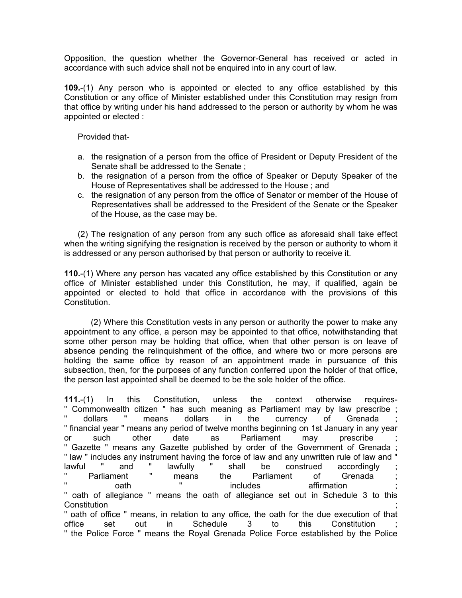Opposition, the question whether the Governor-General has received or acted in accordance with such advice shall not be enquired into in any court of law.

**109.**-(1) Any person who is appointed or elected to any office established by this Constitution or any office of Minister established under this Constitution may resign from that office by writing under his hand addressed to the person or authority by whom he was appointed or elected :

Provided that-

- a. the resignation of a person from the office of President or Deputy President of the Senate shall be addressed to the Senate ;
- b. the resignation of a person from the office of Speaker or Deputy Speaker of the House of Representatives shall be addressed to the House ; and
- c. the resignation of any person from the office of Senator or member of the House of Representatives shall be addressed to the President of the Senate or the Speaker of the House, as the case may be.

(2) The resignation of any person from any such office as aforesaid shall take effect when the writing signifying the resignation is received by the person or authority to whom it is addressed or any person authorised by that person or authority to receive it.

**110.**-(1) Where any person has vacated any office established by this Constitution or any office of Minister established under this Constitution, he may, if qualified, again be appointed or elected to hold that office in accordance with the provisions of this Constitution.

(2) Where this Constitution vests in any person or authority the power to make any appointment to any office, a person may be appointed to that office, notwithstanding that some other person may be holding that office, when that other person is on leave of absence pending the relinquishment of the office, and where two or more persons are holding the same office by reason of an appointment made in pursuance of this subsection, then, for the purposes of any function conferred upon the holder of that office, the person last appointed shall be deemed to be the sole holder of the office.

**111.**-(1) In this Constitution, unless the context otherwise requires- " Commonwealth citizen " has such meaning as Parliament may by law prescribe ; " dollars " means dollars in the currency of Grenada ; " financial year " means any period of twelve months beginning on 1st January in any year or such other date as Parliament may prescribe ; " Gazette " means any Gazette published by order of the Government of Grenada ; " law " includes any instrument having the force of law and any unwritten rule of law and " lawful " and " lawfully " shall be construed accordingly ; " Parliament " means the Parliament of Grenada ; oath " includes affirmation " oath of allegiance " means the oath of allegiance set out in Schedule 3 to this Constitution ; " oath of office " means, in relation to any office, the oath for the due execution of that office set out in Schedule 3 to this Constitution ;

" the Police Force " means the Royal Grenada Police Force established by the Police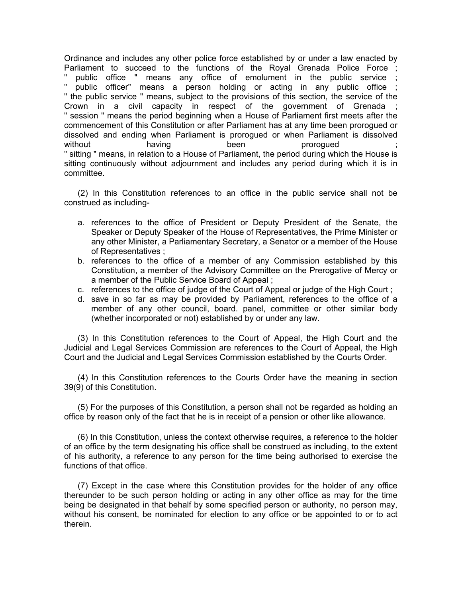Ordinance and includes any other police force established by or under a law enacted by Parliament to succeed to the functions of the Royal Grenada Police Force ; " public office " means any office of emolument in the public service ;"<br>" public officer" means a person bolding or acting in any public office public officer" means a person holding or acting in any public office " the public service " means, subject to the provisions of this section, the service of the Crown in a civil capacity in respect of the government of Grenada ; " session " means the period beginning when a House of Parliament first meets after the commencement of this Constitution or after Parliament has at any time been prorogued or dissolved and ending when Parliament is prorogued or when Parliament is dissolved without having been prorogued " sitting " means, in relation to a House of Parliament, the period during which the House is sitting continuously without adjournment and includes any period during which it is in committee.

(2) In this Constitution references to an office in the public service shall not be construed as including-

- a. references to the office of President or Deputy President of the Senate, the Speaker or Deputy Speaker of the House of Representatives, the Prime Minister or any other Minister, a Parliamentary Secretary, a Senator or a member of the House of Representatives ;
- b. references to the office of a member of any Commission established by this Constitution, a member of the Advisory Committee on the Prerogative of Mercy or a member of the Public Service Board of Appeal ;
- c. references to the office of judge of the Court of Appeal or judge of the High Court ;
- d. save in so far as may be provided by Parliament, references to the office of a member of any other council, board. panel, committee or other similar body (whether incorporated or not) established by or under any law.

(3) In this Constitution references to the Court of Appeal, the High Court and the Judicial and Legal Services Commission are references to the Court of Appeal, the High Court and the Judicial and Legal Services Commission established by the Courts Order.

(4) In this Constitution references to the Courts Order have the meaning in section 39(9) of this Constitution.

(5) For the purposes of this Constitution, a person shall not be regarded as holding an office by reason only of the fact that he is in receipt of a pension or other like allowance.

(6) In this Constitution, unless the context otherwise requires, a reference to the holder of an office by the term designating his office shall be construed as including, to the extent of his authority, a reference to any person for the time being authorised to exercise the functions of that office.

(7) Except in the case where this Constitution provides for the holder of any office thereunder to be such person holding or acting in any other office as may for the time being be designated in that behalf by some specified person or authority, no person may, without his consent, be nominated for election to any office or be appointed to or to act therein.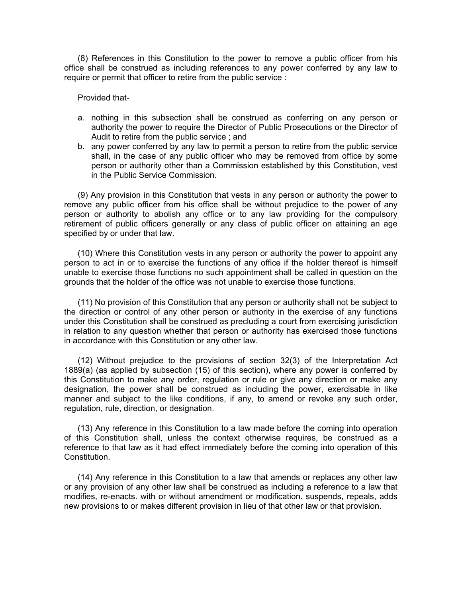(8) References in this Constitution to the power to remove a public officer from his office shall be construed as including references to any power conferred by any law to require or permit that officer to retire from the public service :

Provided that-

- a. nothing in this subsection shall be construed as conferring on any person or authority the power to require the Director of Public Prosecutions or the Director of Audit to retire from the public service ; and
- b. any power conferred by any law to permit a person to retire from the public service shall, in the case of any public officer who may be removed from office by some person or authority other than a Commission established by this Constitution, vest in the Public Service Commission.

(9) Any provision in this Constitution that vests in any person or authority the power to remove any public officer from his office shall be without prejudice to the power of any person or authority to abolish any office or to any law providing for the compulsory retirement of public officers generally or any class of public officer on attaining an age specified by or under that law.

(10) Where this Constitution vests in any person or authority the power to appoint any person to act in or to exercise the functions of any office if the holder thereof is himself unable to exercise those functions no such appointment shall be called in question on the grounds that the holder of the office was not unable to exercise those functions.

(11) No provision of this Constitution that any person or authority shall not be subject to the direction or control of any other person or authority in the exercise of any functions under this Constitution shall be construed as precluding a court from exercising jurisdiction in relation to any question whether that person or authority has exercised those functions in accordance with this Constitution or any other law.

(12) Without prejudice to the provisions of section 32(3) of the Interpretation Act 1889(a) (as applied by subsection (15) of this section), where any power is conferred by this Constitution to make any order, regulation or rule or give any direction or make any designation, the power shall be construed as including the power, exercisable in like manner and subject to the like conditions, if any, to amend or revoke any such order, regulation, rule, direction, or designation.

(13) Any reference in this Constitution to a law made before the coming into operation of this Constitution shall, unless the context otherwise requires, be construed as a reference to that law as it had effect immediately before the coming into operation of this Constitution.

(14) Any reference in this Constitution to a law that amends or replaces any other law or any provision of any other law shall be construed as including a reference to a law that modifies, re-enacts. with or without amendment or modification. suspends, repeals, adds new provisions to or makes different provision in lieu of that other law or that provision.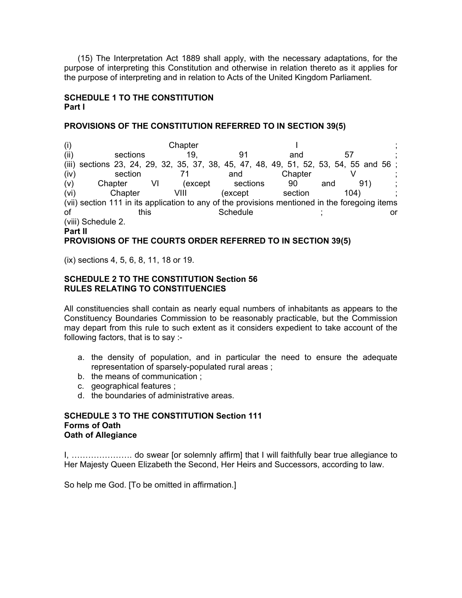(15) The Interpretation Act 1889 shall apply, with the necessary adaptations, for the purpose of interpreting this Constitution and otherwise in relation thereto as it applies for the purpose of interpreting and in relation to Acts of the United Kingdom Parliament.

### **SCHEDULE 1 TO THE CONSTITUTION Part I**

### **PROVISIONS OF THE CONSTITUTION REFERRED TO IN SECTION 39(5)**

(i) Chapter I ; (ii) sections 19, 91 and 57 ; (iii) sections 23, 24, 29, 32, 35, 37, 38, 45, 47, 48, 49, 51, 52, 53, 54, 55 and 56 (iv) section 71 and Chapter V ; (v) Chapter VI (except sections 90 and 91) ; (vi) Chapter VIII (except section 104) ; (vii) section 111 in its application to any of the provisions mentioned in the foregoing items of this Schedule ; or (viii) Schedule 2. **Part II** 

### **PROVISIONS OF THE COURTS ORDER REFERRED TO IN SECTION 39(5)**

(ix) sections 4, 5, 6, 8, 11, 18 or 19.

### **SCHEDULE 2 TO THE CONSTITUTION Section 56 RULES RELATING TO CONSTITUENCIES**

All constituencies shall contain as nearly equal numbers of inhabitants as appears to the Constituency Boundaries Commission to be reasonably practicable, but the Commission may depart from this rule to such extent as it considers expedient to take account of the following factors, that is to say :-

- a. the density of population, and in particular the need to ensure the adequate representation of sparsely-populated rural areas ;
- b. the means of communication ;
- c. geographical features ;
- d. the boundaries of administrative areas.

### **SCHEDULE 3 TO THE CONSTITUTION Section 111 Forms of Oath Oath of Allegiance**

I, …………………. do swear [or solemnly affirm] that I will faithfully bear true allegiance to Her Majesty Queen Elizabeth the Second, Her Heirs and Successors, according to law.

So help me God. [To be omitted in affirmation.]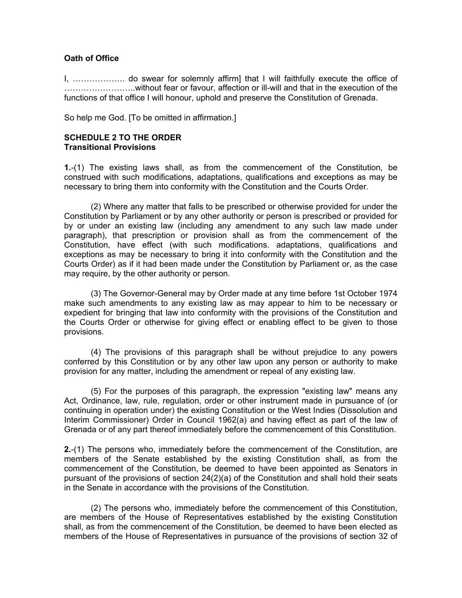### **Oath of Office**

I, ………………. do swear for solemnly affirm] that I will faithfully execute the office of ……………………..without fear or favour, affection or ill-will and that in the execution of the functions of that office I will honour, uphold and preserve the Constitution of Grenada.

So help me God. [To be omitted in affirmation.]

### **SCHEDULE 2 TO THE ORDER Transitional Provisions**

**1.**-(1) The existing laws shall, as from the commencement of the Constitution, be construed with such modifications, adaptations, qualifications and exceptions as may be necessary to bring them into conformity with the Constitution and the Courts Order.

(2) Where any matter that falls to be prescribed or otherwise provided for under the Constitution by Parliament or by any other authority or person is prescribed or provided for by or under an existing law (including any amendment to any such law made under paragraph), that prescription or provision shall as from the commencement of the Constitution, have effect (with such modifications. adaptations, qualifications and exceptions as may be necessary to bring it into conformity with the Constitution and the Courts Order) as if it had been made under the Constitution by Parliament or, as the case may require, by the other authority or person.

(3) The Governor-General may by Order made at any time before 1st October 1974 make such amendments to any existing law as may appear to him to be necessary or expedient for bringing that law into conformity with the provisions of the Constitution and the Courts Order or otherwise for giving effect or enabling effect to be given to those provisions.

(4) The provisions of this paragraph shall be without prejudice to any powers conferred by this Constitution or by any other law upon any person or authority to make provision for any matter, including the amendment or repeal of any existing law.

(5) For the purposes of this paragraph, the expression "existing law" means any Act, Ordinance, law, rule, regulation, order or other instrument made in pursuance of (or continuing in operation under) the existing Constitution or the West Indies (Dissolution and Interim Commissioner) Order in Council 1962(a) and having effect as part of the law of Grenada or of any part thereof immediately before the commencement of this Constitution.

**2.**-(1) The persons who, immediately before the commencement of the Constitution, are members of the Senate established by the existing Constitution shall, as from the commencement of the Constitution, be deemed to have been appointed as Senators in pursuant of the provisions of section 24(2)(a) of the Constitution and shall hold their seats in the Senate in accordance with the provisions of the Constitution.

(2) The persons who, immediately before the commencement of this Constitution, are members of the House of Representatives established by the existing Constitution shall, as from the commencement of the Constitution, be deemed to have been elected as members of the House of Representatives in pursuance of the provisions of section 32 of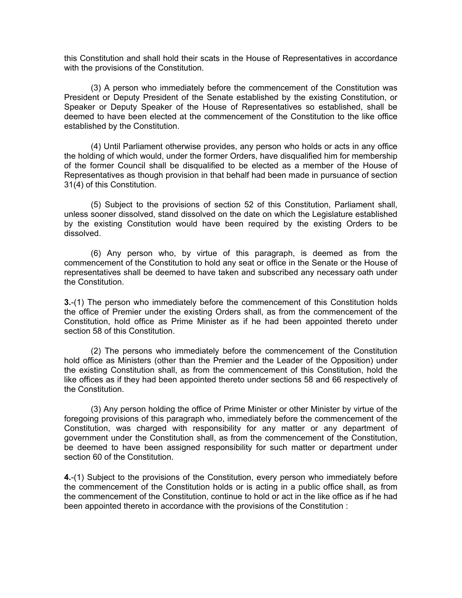this Constitution and shall hold their scats in the House of Representatives in accordance with the provisions of the Constitution.

(3) A person who immediately before the commencement of the Constitution was President or Deputy President of the Senate established by the existing Constitution, or Speaker or Deputy Speaker of the House of Representatives so established, shall be deemed to have been elected at the commencement of the Constitution to the like office established by the Constitution.

(4) Until Parliament otherwise provides, any person who holds or acts in any office the holding of which would, under the former Orders, have disqualified him for membership of the former Council shall be disqualified to be elected as a member of the House of Representatives as though provision in that behalf had been made in pursuance of section 31(4) of this Constitution.

(5) Subject to the provisions of section 52 of this Constitution, Parliament shall, unless sooner dissolved, stand dissolved on the date on which the Legislature established by the existing Constitution would have been required by the existing Orders to be dissolved.

(6) Any person who, by virtue of this paragraph, is deemed as from the commencement of the Constitution to hold any seat or office in the Senate or the House of representatives shall be deemed to have taken and subscribed any necessary oath under the Constitution.

**3.**-(1) The person who immediately before the commencement of this Constitution holds the office of Premier under the existing Orders shall, as from the commencement of the Constitution, hold office as Prime Minister as if he had been appointed thereto under section 58 of this Constitution.

(2) The persons who immediately before the commencement of the Constitution hold office as Ministers (other than the Premier and the Leader of the Opposition) under the existing Constitution shall, as from the commencement of this Constitution, hold the like offices as if they had been appointed thereto under sections 58 and 66 respectively of the Constitution.

(3) Any person holding the office of Prime Minister or other Minister by virtue of the foregoing provisions of this paragraph who, immediately before the commencement of the Constitution, was charged with responsibility for any matter or any department of government under the Constitution shall, as from the commencement of the Constitution, be deemed to have been assigned responsibility for such matter or department under section 60 of the Constitution.

**4.**-(1) Subject to the provisions of the Constitution, every person who immediately before the commencement of the Constitution holds or is acting in a public office shall, as from the commencement of the Constitution, continue to hold or act in the like office as if he had been appointed thereto in accordance with the provisions of the Constitution :